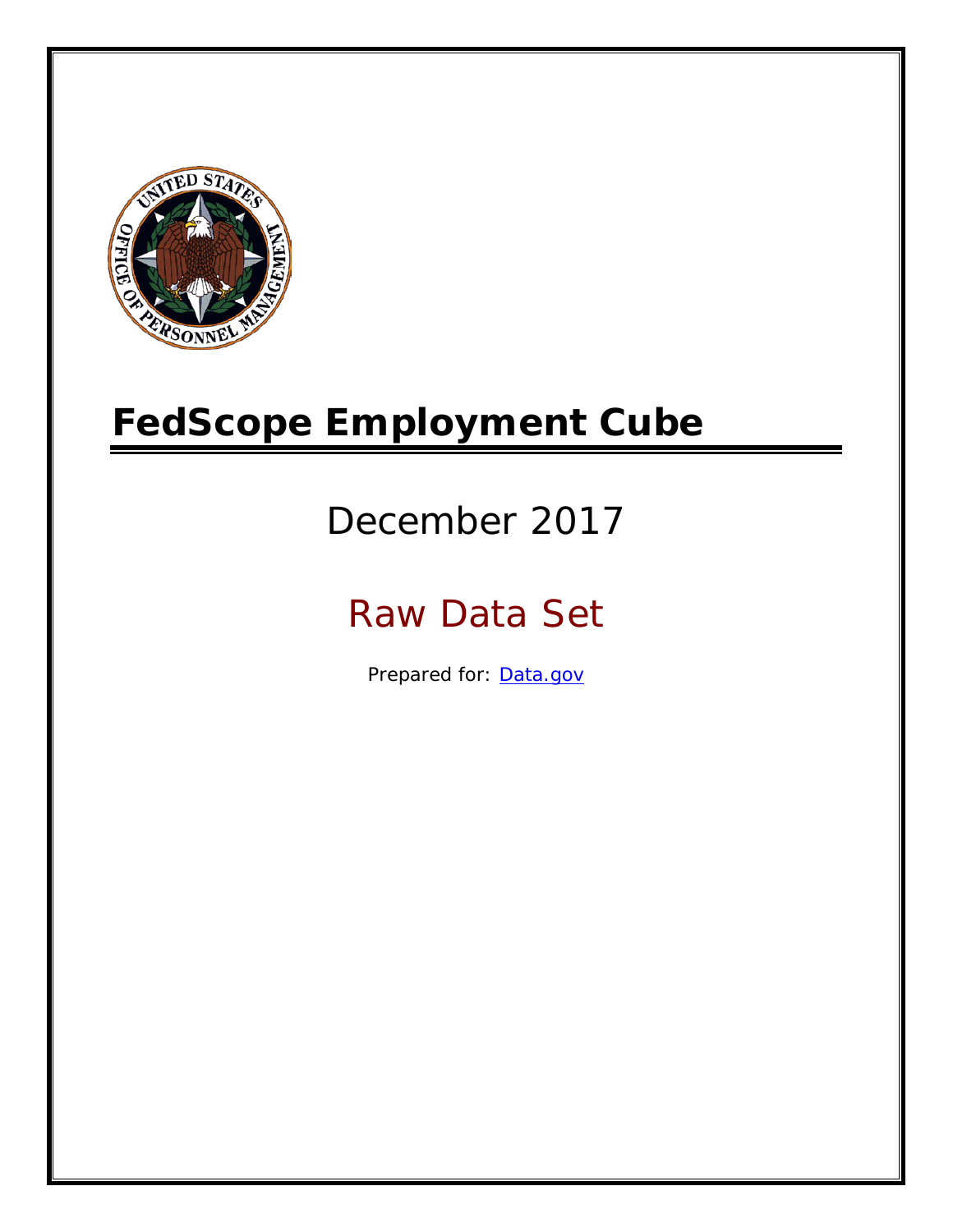

# **FedScope Employment Cube**

# December 2017

# Raw Data Set

Prepared for: [Data.gov](http://www.data.gov/)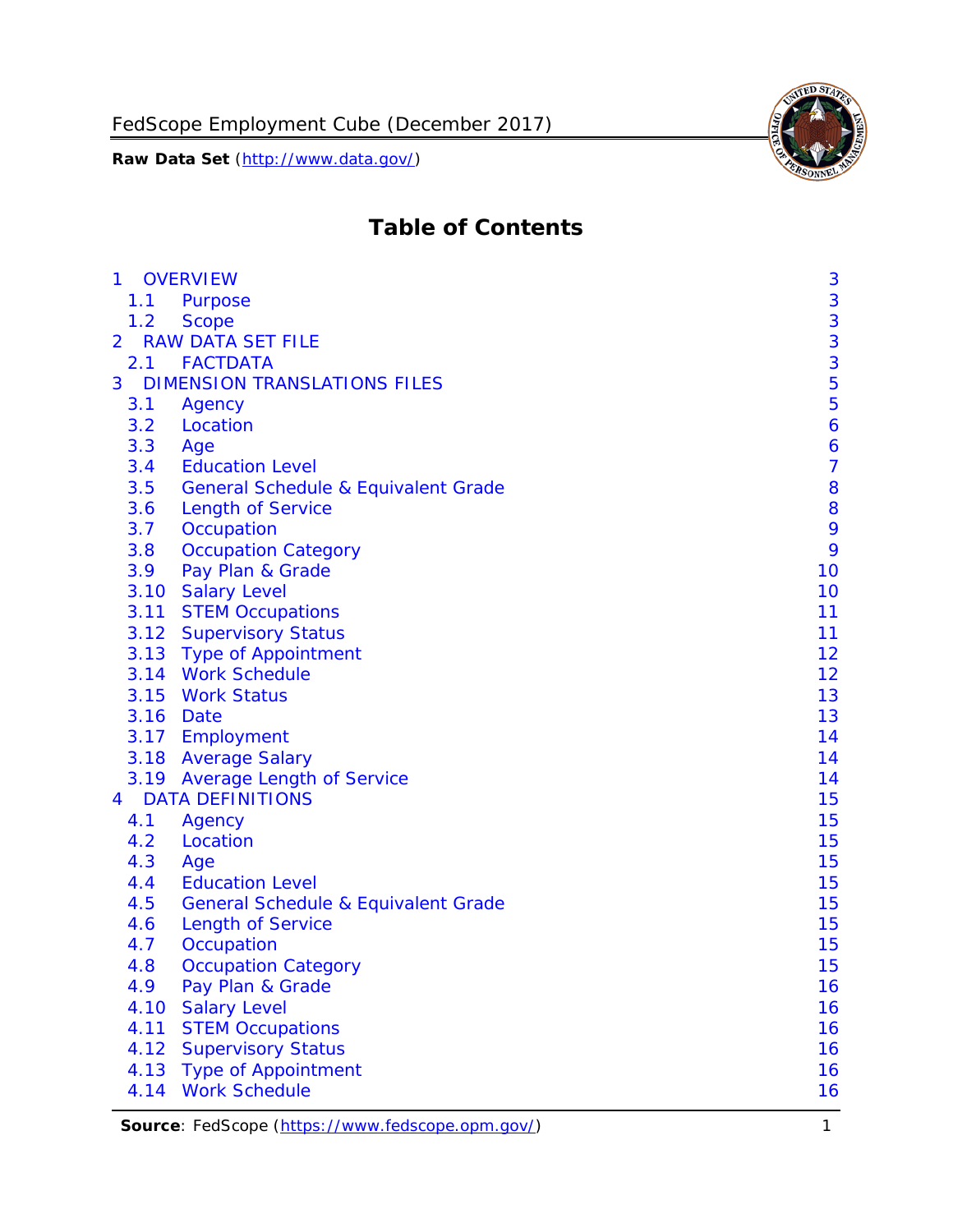

# **Table of Contents**

| 3<br>1.1<br>Purpose<br>3<br>1.2<br><b>Scope</b><br>3<br><b>RAW DATA SET FILE</b><br>3<br>2.1 FACTDATA<br>5<br><b>DIMENSION TRANSLATIONS FILES</b><br>3<br>5<br>3.1<br>Agency<br>3.2<br>Location<br>6<br>3.3<br>6<br>Age<br>$\overline{7}$<br><b>Education Level</b><br>3.4<br>8<br>3.5<br><b>General Schedule &amp; Equivalent Grade</b><br>8<br><b>Length of Service</b><br>3.6<br>9<br>3.7<br>Occupation<br>9<br><b>Occupation Category</b><br>3.8<br>10<br>Pay Plan & Grade<br>3.9<br><b>Salary Level</b><br>3.10<br>10<br>3.11 STEM Occupations<br>11<br>3.12 Supervisory Status<br>11<br>3.13 Type of Appointment<br>12<br>3.14 Work Schedule<br>12<br>3.15<br><b>Work Status</b><br>13<br>13<br>3.16 Date<br>3.17 Employment<br>14<br>3.18 Average Salary<br>14<br>3.19 Average Length of Service<br>14<br><b>DATA DEFINITIONS</b><br>15<br>4.1<br>15<br>Agency<br>4.2<br>Location<br>15<br>15<br>4.3<br>Age<br><b>Education Level</b><br>15<br>4.4<br>15<br>4.5<br><b>General Schedule &amp; Equivalent Grade</b><br><b>Length of Service</b><br>15<br>4.6<br>15<br>4.7<br>Occupation<br>15<br>4.8<br><b>Occupation Category</b><br>4.9<br>Pay Plan & Grade<br>16<br>4.10<br><b>Salary Level</b><br>16<br>4.11<br>16<br><b>STEM Occupations</b><br><b>Supervisory Status</b><br>16<br>4.12<br>16<br>4.13<br><b>Type of Appointment</b> | $\mathbf{1}$   | <b>OVERVIEW</b>      | 3  |
|-----------------------------------------------------------------------------------------------------------------------------------------------------------------------------------------------------------------------------------------------------------------------------------------------------------------------------------------------------------------------------------------------------------------------------------------------------------------------------------------------------------------------------------------------------------------------------------------------------------------------------------------------------------------------------------------------------------------------------------------------------------------------------------------------------------------------------------------------------------------------------------------------------------------------------------------------------------------------------------------------------------------------------------------------------------------------------------------------------------------------------------------------------------------------------------------------------------------------------------------------------------------------------------------------------------------------------------------------|----------------|----------------------|----|
|                                                                                                                                                                                                                                                                                                                                                                                                                                                                                                                                                                                                                                                                                                                                                                                                                                                                                                                                                                                                                                                                                                                                                                                                                                                                                                                                               |                |                      |    |
|                                                                                                                                                                                                                                                                                                                                                                                                                                                                                                                                                                                                                                                                                                                                                                                                                                                                                                                                                                                                                                                                                                                                                                                                                                                                                                                                               |                |                      |    |
|                                                                                                                                                                                                                                                                                                                                                                                                                                                                                                                                                                                                                                                                                                                                                                                                                                                                                                                                                                                                                                                                                                                                                                                                                                                                                                                                               | $\overline{2}$ |                      |    |
|                                                                                                                                                                                                                                                                                                                                                                                                                                                                                                                                                                                                                                                                                                                                                                                                                                                                                                                                                                                                                                                                                                                                                                                                                                                                                                                                               |                |                      |    |
|                                                                                                                                                                                                                                                                                                                                                                                                                                                                                                                                                                                                                                                                                                                                                                                                                                                                                                                                                                                                                                                                                                                                                                                                                                                                                                                                               |                |                      |    |
|                                                                                                                                                                                                                                                                                                                                                                                                                                                                                                                                                                                                                                                                                                                                                                                                                                                                                                                                                                                                                                                                                                                                                                                                                                                                                                                                               |                |                      |    |
|                                                                                                                                                                                                                                                                                                                                                                                                                                                                                                                                                                                                                                                                                                                                                                                                                                                                                                                                                                                                                                                                                                                                                                                                                                                                                                                                               |                |                      |    |
|                                                                                                                                                                                                                                                                                                                                                                                                                                                                                                                                                                                                                                                                                                                                                                                                                                                                                                                                                                                                                                                                                                                                                                                                                                                                                                                                               |                |                      |    |
|                                                                                                                                                                                                                                                                                                                                                                                                                                                                                                                                                                                                                                                                                                                                                                                                                                                                                                                                                                                                                                                                                                                                                                                                                                                                                                                                               |                |                      |    |
|                                                                                                                                                                                                                                                                                                                                                                                                                                                                                                                                                                                                                                                                                                                                                                                                                                                                                                                                                                                                                                                                                                                                                                                                                                                                                                                                               |                |                      |    |
|                                                                                                                                                                                                                                                                                                                                                                                                                                                                                                                                                                                                                                                                                                                                                                                                                                                                                                                                                                                                                                                                                                                                                                                                                                                                                                                                               |                |                      |    |
|                                                                                                                                                                                                                                                                                                                                                                                                                                                                                                                                                                                                                                                                                                                                                                                                                                                                                                                                                                                                                                                                                                                                                                                                                                                                                                                                               |                |                      |    |
|                                                                                                                                                                                                                                                                                                                                                                                                                                                                                                                                                                                                                                                                                                                                                                                                                                                                                                                                                                                                                                                                                                                                                                                                                                                                                                                                               |                |                      |    |
|                                                                                                                                                                                                                                                                                                                                                                                                                                                                                                                                                                                                                                                                                                                                                                                                                                                                                                                                                                                                                                                                                                                                                                                                                                                                                                                                               |                |                      |    |
|                                                                                                                                                                                                                                                                                                                                                                                                                                                                                                                                                                                                                                                                                                                                                                                                                                                                                                                                                                                                                                                                                                                                                                                                                                                                                                                                               |                |                      |    |
|                                                                                                                                                                                                                                                                                                                                                                                                                                                                                                                                                                                                                                                                                                                                                                                                                                                                                                                                                                                                                                                                                                                                                                                                                                                                                                                                               |                |                      |    |
|                                                                                                                                                                                                                                                                                                                                                                                                                                                                                                                                                                                                                                                                                                                                                                                                                                                                                                                                                                                                                                                                                                                                                                                                                                                                                                                                               |                |                      |    |
|                                                                                                                                                                                                                                                                                                                                                                                                                                                                                                                                                                                                                                                                                                                                                                                                                                                                                                                                                                                                                                                                                                                                                                                                                                                                                                                                               |                |                      |    |
|                                                                                                                                                                                                                                                                                                                                                                                                                                                                                                                                                                                                                                                                                                                                                                                                                                                                                                                                                                                                                                                                                                                                                                                                                                                                                                                                               |                |                      |    |
|                                                                                                                                                                                                                                                                                                                                                                                                                                                                                                                                                                                                                                                                                                                                                                                                                                                                                                                                                                                                                                                                                                                                                                                                                                                                                                                                               |                |                      |    |
|                                                                                                                                                                                                                                                                                                                                                                                                                                                                                                                                                                                                                                                                                                                                                                                                                                                                                                                                                                                                                                                                                                                                                                                                                                                                                                                                               |                |                      |    |
|                                                                                                                                                                                                                                                                                                                                                                                                                                                                                                                                                                                                                                                                                                                                                                                                                                                                                                                                                                                                                                                                                                                                                                                                                                                                                                                                               |                |                      |    |
|                                                                                                                                                                                                                                                                                                                                                                                                                                                                                                                                                                                                                                                                                                                                                                                                                                                                                                                                                                                                                                                                                                                                                                                                                                                                                                                                               |                |                      |    |
|                                                                                                                                                                                                                                                                                                                                                                                                                                                                                                                                                                                                                                                                                                                                                                                                                                                                                                                                                                                                                                                                                                                                                                                                                                                                                                                                               |                |                      |    |
|                                                                                                                                                                                                                                                                                                                                                                                                                                                                                                                                                                                                                                                                                                                                                                                                                                                                                                                                                                                                                                                                                                                                                                                                                                                                                                                                               | 4              |                      |    |
|                                                                                                                                                                                                                                                                                                                                                                                                                                                                                                                                                                                                                                                                                                                                                                                                                                                                                                                                                                                                                                                                                                                                                                                                                                                                                                                                               |                |                      |    |
|                                                                                                                                                                                                                                                                                                                                                                                                                                                                                                                                                                                                                                                                                                                                                                                                                                                                                                                                                                                                                                                                                                                                                                                                                                                                                                                                               |                |                      |    |
|                                                                                                                                                                                                                                                                                                                                                                                                                                                                                                                                                                                                                                                                                                                                                                                                                                                                                                                                                                                                                                                                                                                                                                                                                                                                                                                                               |                |                      |    |
|                                                                                                                                                                                                                                                                                                                                                                                                                                                                                                                                                                                                                                                                                                                                                                                                                                                                                                                                                                                                                                                                                                                                                                                                                                                                                                                                               |                |                      |    |
|                                                                                                                                                                                                                                                                                                                                                                                                                                                                                                                                                                                                                                                                                                                                                                                                                                                                                                                                                                                                                                                                                                                                                                                                                                                                                                                                               |                |                      |    |
|                                                                                                                                                                                                                                                                                                                                                                                                                                                                                                                                                                                                                                                                                                                                                                                                                                                                                                                                                                                                                                                                                                                                                                                                                                                                                                                                               |                |                      |    |
|                                                                                                                                                                                                                                                                                                                                                                                                                                                                                                                                                                                                                                                                                                                                                                                                                                                                                                                                                                                                                                                                                                                                                                                                                                                                                                                                               |                |                      |    |
|                                                                                                                                                                                                                                                                                                                                                                                                                                                                                                                                                                                                                                                                                                                                                                                                                                                                                                                                                                                                                                                                                                                                                                                                                                                                                                                                               |                |                      |    |
|                                                                                                                                                                                                                                                                                                                                                                                                                                                                                                                                                                                                                                                                                                                                                                                                                                                                                                                                                                                                                                                                                                                                                                                                                                                                                                                                               |                |                      |    |
|                                                                                                                                                                                                                                                                                                                                                                                                                                                                                                                                                                                                                                                                                                                                                                                                                                                                                                                                                                                                                                                                                                                                                                                                                                                                                                                                               |                |                      |    |
|                                                                                                                                                                                                                                                                                                                                                                                                                                                                                                                                                                                                                                                                                                                                                                                                                                                                                                                                                                                                                                                                                                                                                                                                                                                                                                                                               |                |                      |    |
|                                                                                                                                                                                                                                                                                                                                                                                                                                                                                                                                                                                                                                                                                                                                                                                                                                                                                                                                                                                                                                                                                                                                                                                                                                                                                                                                               |                |                      |    |
|                                                                                                                                                                                                                                                                                                                                                                                                                                                                                                                                                                                                                                                                                                                                                                                                                                                                                                                                                                                                                                                                                                                                                                                                                                                                                                                                               |                |                      |    |
|                                                                                                                                                                                                                                                                                                                                                                                                                                                                                                                                                                                                                                                                                                                                                                                                                                                                                                                                                                                                                                                                                                                                                                                                                                                                                                                                               | 4.14           | <b>Work Schedule</b> | 16 |

Source: FedScope [\(https://www.fedscope.opm.gov/\)](https://www.fedscope.opm.gov/) 1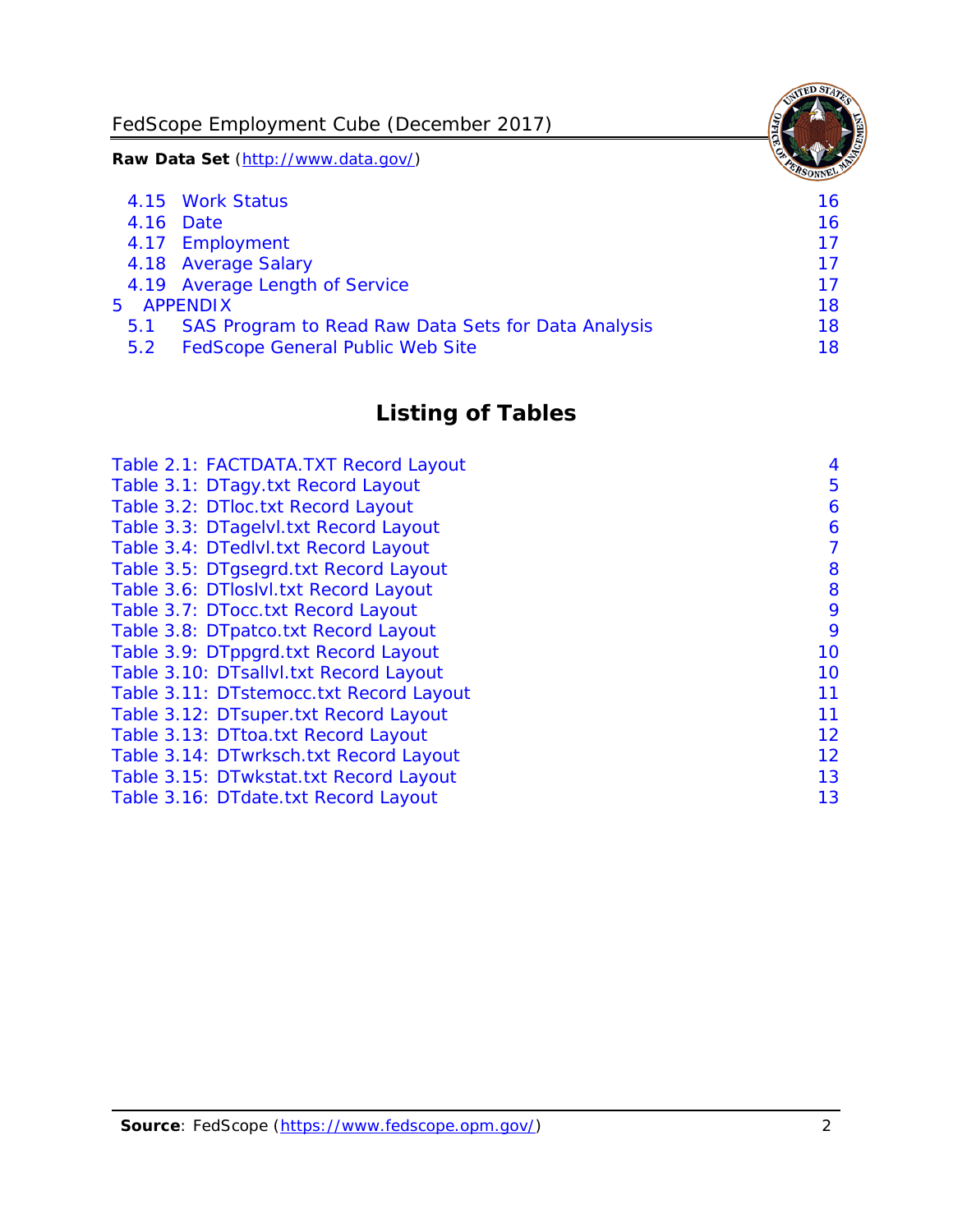FedScope Employment Cube (December 2017)

**Raw Data Set** (http://www.data.gov/)

|               | 4.15 Work Status                                    | 16. |
|---------------|-----------------------------------------------------|-----|
|               | 4.16 Date                                           | 16  |
|               | 4.17 Employment                                     | 17  |
|               | 4.18 Average Salary                                 | 17  |
|               | 4.19 Average Length of Service                      | 17  |
| 5 APPENDIX    |                                                     | 18  |
| 5.1           | SAS Program to Read Raw Data Sets for Data Analysis | 18  |
| $5.2^{\circ}$ | <b>FedScope General Public Web Site</b>             | 18  |
|               |                                                     |     |

# **Listing of Tables**

| Table 2.1: FACTDATA.TXT Record Layout   | 4  |
|-----------------------------------------|----|
| Table 3.1: DTagy.txt Record Layout      | 5  |
| Table 3.2: DTloc.txt Record Layout      | 6  |
| Table 3.3: DTagelvl.txt Record Layout   | 6  |
| Table 3.4: DTedlvl.txt Record Layout    | 7  |
| Table 3.5: DTgsegrd.txt Record Layout   | 8  |
| Table 3.6: DTloslvl.txt Record Layout   | 8  |
| Table 3.7: DTocc.txt Record Layout      | 9  |
| Table 3.8: DTpatco.txt Record Layout    | 9  |
| Table 3.9: DTppgrd.txt Record Layout    | 10 |
| Table 3.10: DTsallvl.txt Record Layout  | 10 |
| Table 3.11: DTstemocc.txt Record Layout | 11 |
| Table 3.12: DTsuper.txt Record Layout   | 11 |
| Table 3.13: DTtoa.txt Record Layout     | 12 |
| Table 3.14: DTwrksch.txt Record Layout  | 12 |
| Table 3.15: DTwkstat.txt Record Layout  | 13 |
| Table 3.16: DTdate.txt Record Layout    | 13 |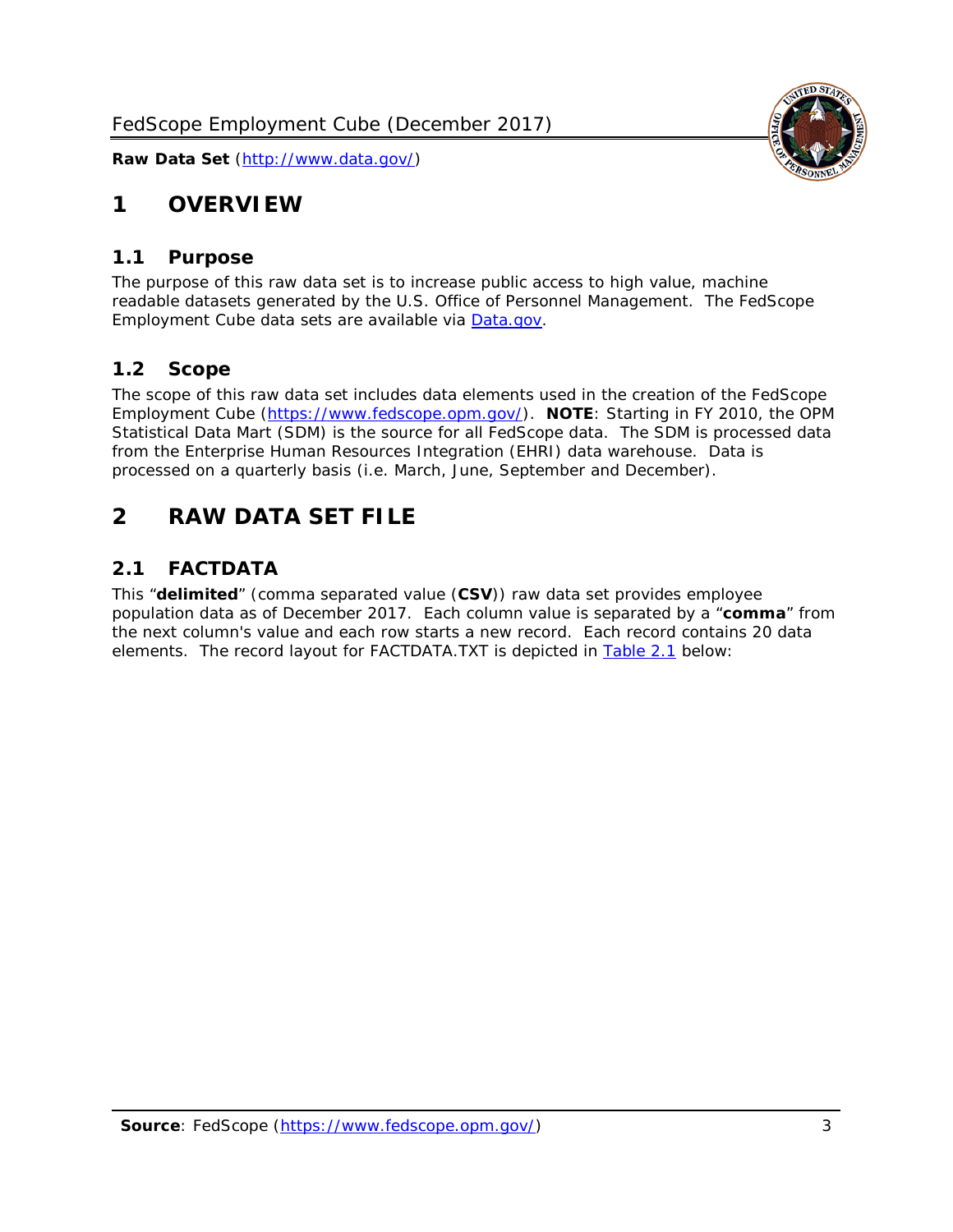

# <span id="page-3-0"></span>**1 OVERVIEW**

#### <span id="page-3-1"></span>*1.1 Purpose*

The purpose of this raw data set is to increase public access to high value, machine readable datasets generated by the U.S. Office of Personnel Management. The FedScope Employment Cube data sets are available via [Data.gov.](http://www.data.gov/)

#### <span id="page-3-2"></span>*1.2 Scope*

The scope of this raw data set includes data elements used in the creation of the FedScope Employment Cube [\(https://www.fedscope.opm.gov/\)](https://www.fedscope.opm.gov/). **NOTE**: Starting in FY 2010, the OPM Statistical Data Mart (SDM) is the source for all FedScope data. The SDM is processed data from the Enterprise Human Resources Integration (EHRI) data warehouse. Data is processed on a quarterly basis (i.e. March, June, September and December).

# <span id="page-3-3"></span>**2 RAW DATA SET FILE**

#### <span id="page-3-4"></span>*2.1 FACTDATA*

This "**delimited**" (comma separated value (**CSV**)) raw data set provides employee population data as of December 2017. Each column value is separated by a "**comma**" from the next column's value and each row starts a new record. Each record contains 20 data elements. The record layout for FACTDATA.TXT is depicted in [Table 2.1](#page-4-0) below: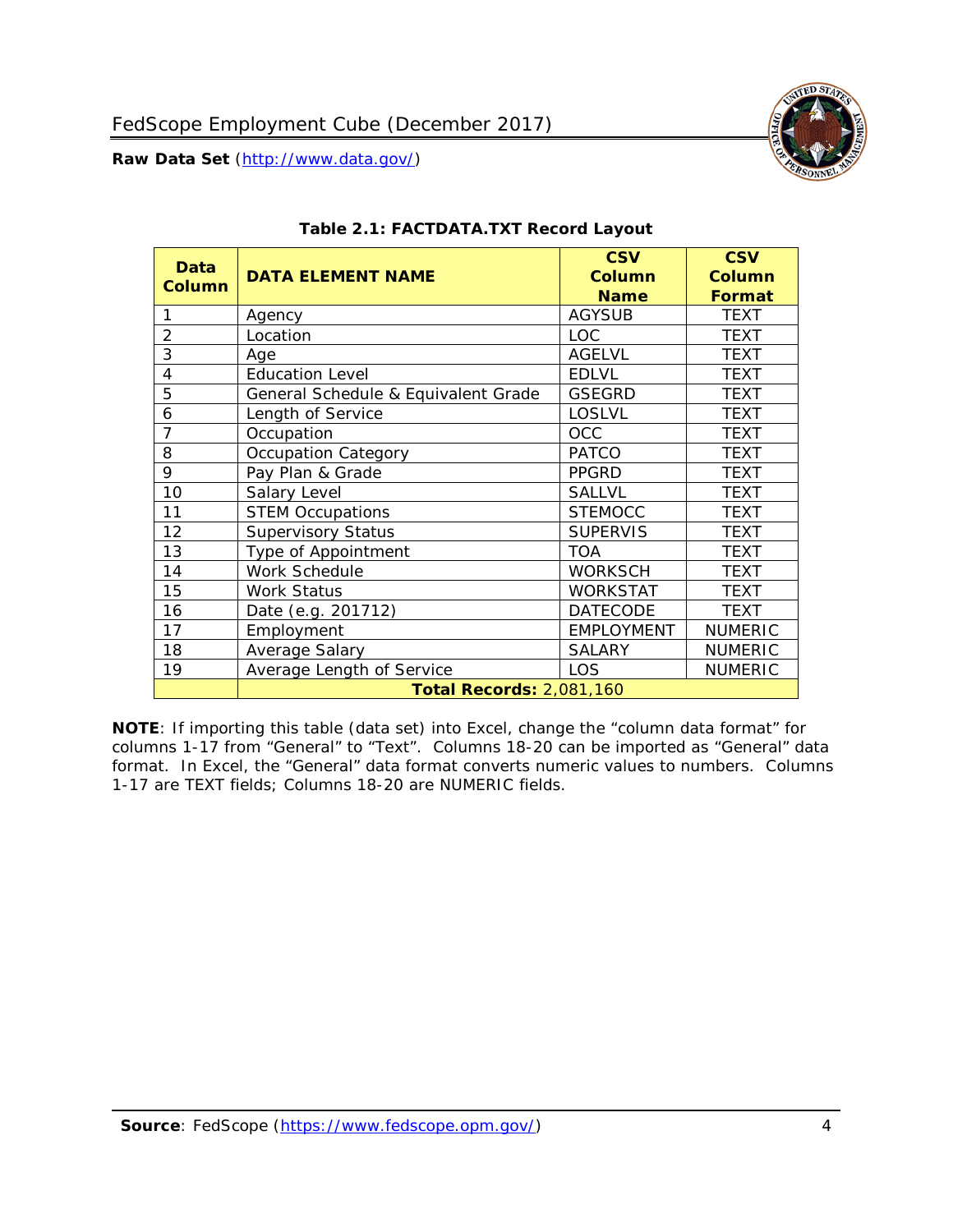

<span id="page-4-0"></span>

| Data<br><b>Column</b> | <b>DATA ELEMENT NAME</b>            | <b>CSV</b><br><b>Column</b><br><b>Name</b> | <b>CSV</b><br><b>Column</b><br><b>Format</b> |
|-----------------------|-------------------------------------|--------------------------------------------|----------------------------------------------|
| 1                     | Agency                              | <b>AGYSUB</b>                              | <b>TEXT</b>                                  |
| 2                     | Location                            | <b>LOC</b>                                 | <b>TEXT</b>                                  |
| 3                     | Age                                 | <b>AGELVL</b>                              | <b>TEXT</b>                                  |
| 4                     | <b>Education Level</b>              | <b>EDLVL</b>                               | <b>TEXT</b>                                  |
| 5                     | General Schedule & Equivalent Grade | <b>GSEGRD</b>                              | <b>TEXT</b>                                  |
| 6                     | Length of Service                   | <b>LOSLVL</b>                              | <b>TEXT</b>                                  |
| 7                     | Occupation                          | <b>OCC</b>                                 | <b>TEXT</b>                                  |
| 8                     | <b>Occupation Category</b>          | <b>PATCO</b>                               | <b>TEXT</b>                                  |
| 9                     | Pay Plan & Grade                    | <b>PPGRD</b>                               | <b>TEXT</b>                                  |
| 10                    | Salary Level                        | <b>SALLVL</b>                              | <b>TEXT</b>                                  |
| 11                    | <b>STEM Occupations</b>             | <b>STEMOCC</b>                             | <b>TEXT</b>                                  |
| 12                    | <b>Supervisory Status</b>           | <b>SUPERVIS</b>                            | <b>TEXT</b>                                  |
| 13                    | Type of Appointment                 | <b>TOA</b>                                 | <b>TEXT</b>                                  |
| 14                    | Work Schedule                       | <b>WORKSCH</b>                             | <b>TEXT</b>                                  |
| 15                    | <b>Work Status</b>                  | <b>WORKSTAT</b>                            | <b>TEXT</b>                                  |
| 16                    | Date (e.g. 201712)                  | <b>DATECODE</b>                            | <b>TEXT</b>                                  |
| 17                    | Employment                          | <b>EMPLOYMENT</b>                          | <b>NUMERIC</b>                               |
| 18                    | Average Salary                      | <b>SALARY</b>                              | <b>NUMERIC</b>                               |
| 19                    | Average Length of Service           | <b>LOS</b>                                 | <b>NUMERIC</b>                               |
|                       | <b>Total Records: 2,081,160</b>     |                                            |                                              |

#### **Table 2.1: FACTDATA.TXT Record Layout**

**NOTE**: If importing this table (data set) into Excel, change the "column data format" for columns 1-17 from "General" to "Text". Columns 18-20 can be imported as "General" data format. In Excel, the "General" data format converts numeric values to numbers. Columns 1-17 are TEXT fields; Columns 18-20 are NUMERIC fields.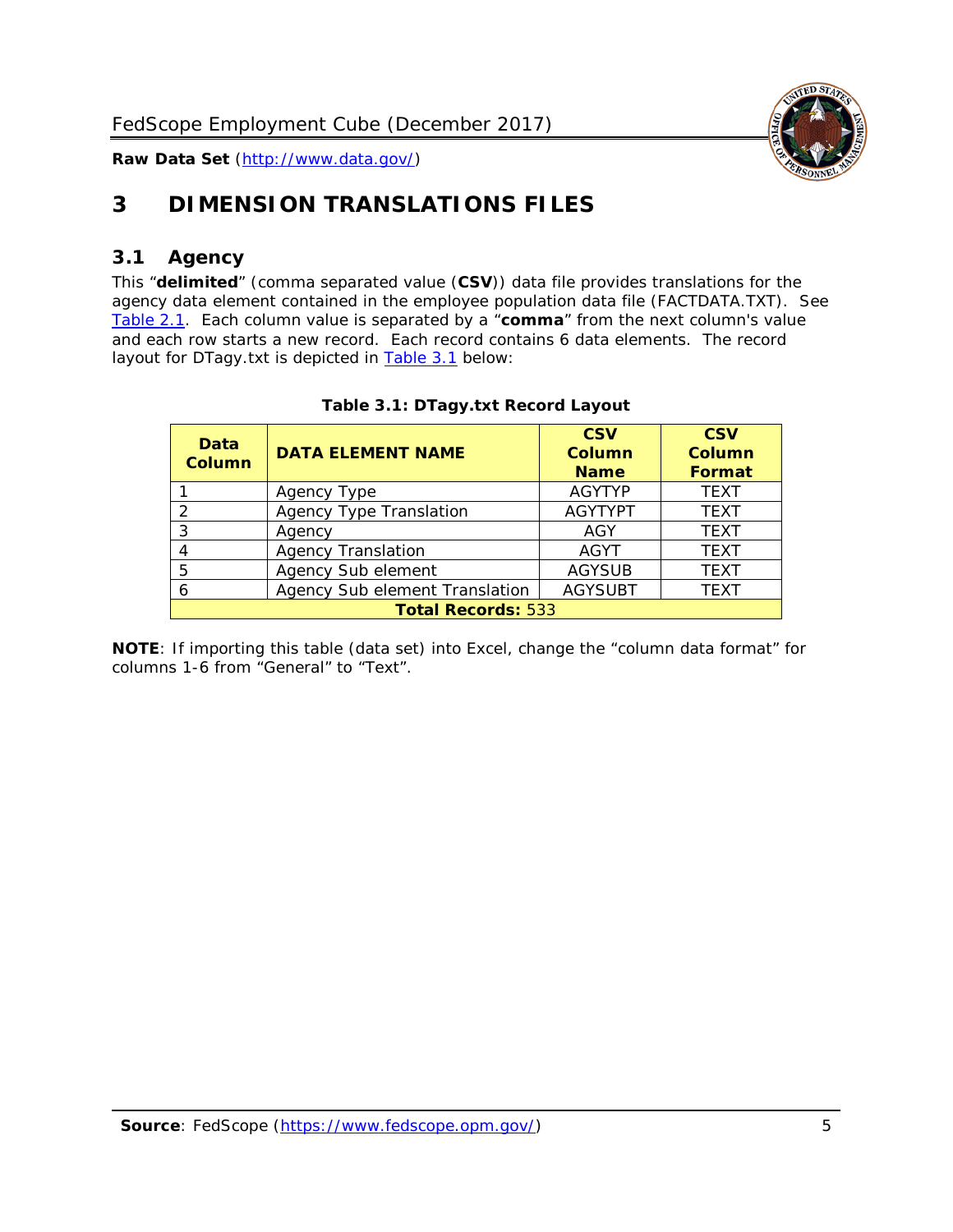

# <span id="page-5-0"></span>**3 DIMENSION TRANSLATIONS FILES**

# <span id="page-5-1"></span>*3.1 Agency*

This "**delimited**" (comma separated value (**CSV**)) data file provides translations for the agency data element contained in the employee population data file (FACTDATA.TXT). See [Table 2.1.](#page-4-0) Each column value is separated by a "**comma**" from the next column's value and each row starts a new record. Each record contains 6 data elements. The record layout for DTagy.txt is depicted in **[Table 3.1](#page-5-2)** below:

<span id="page-5-2"></span>

| Data<br><b>Column</b>     | <b>DATA ELEMENT NAME</b>       | <b>CSV</b><br>Column<br><b>Name</b> | <b>CSV</b><br>Column<br>Format |  |
|---------------------------|--------------------------------|-------------------------------------|--------------------------------|--|
|                           | Agency Type                    | <b>AGYTYP</b>                       | <b>TEXT</b>                    |  |
|                           | <b>Agency Type Translation</b> | <b>AGYTYPT</b>                      | <b>TEXT</b>                    |  |
| 3                         | Agency                         | AGY                                 | <b>TEXT</b>                    |  |
|                           | <b>Agency Translation</b>      | <b>AGYT</b>                         | <b>TEXT</b>                    |  |
| 5                         | Agency Sub element             | <b>AGYSUB</b>                       | <b>TEXT</b>                    |  |
| 6                         | Agency Sub element Translation | <b>AGYSUBT</b>                      | <b>TEXT</b>                    |  |
| <b>Total Records: 533</b> |                                |                                     |                                |  |

#### **Table 3.1: DTagy.txt Record Layout**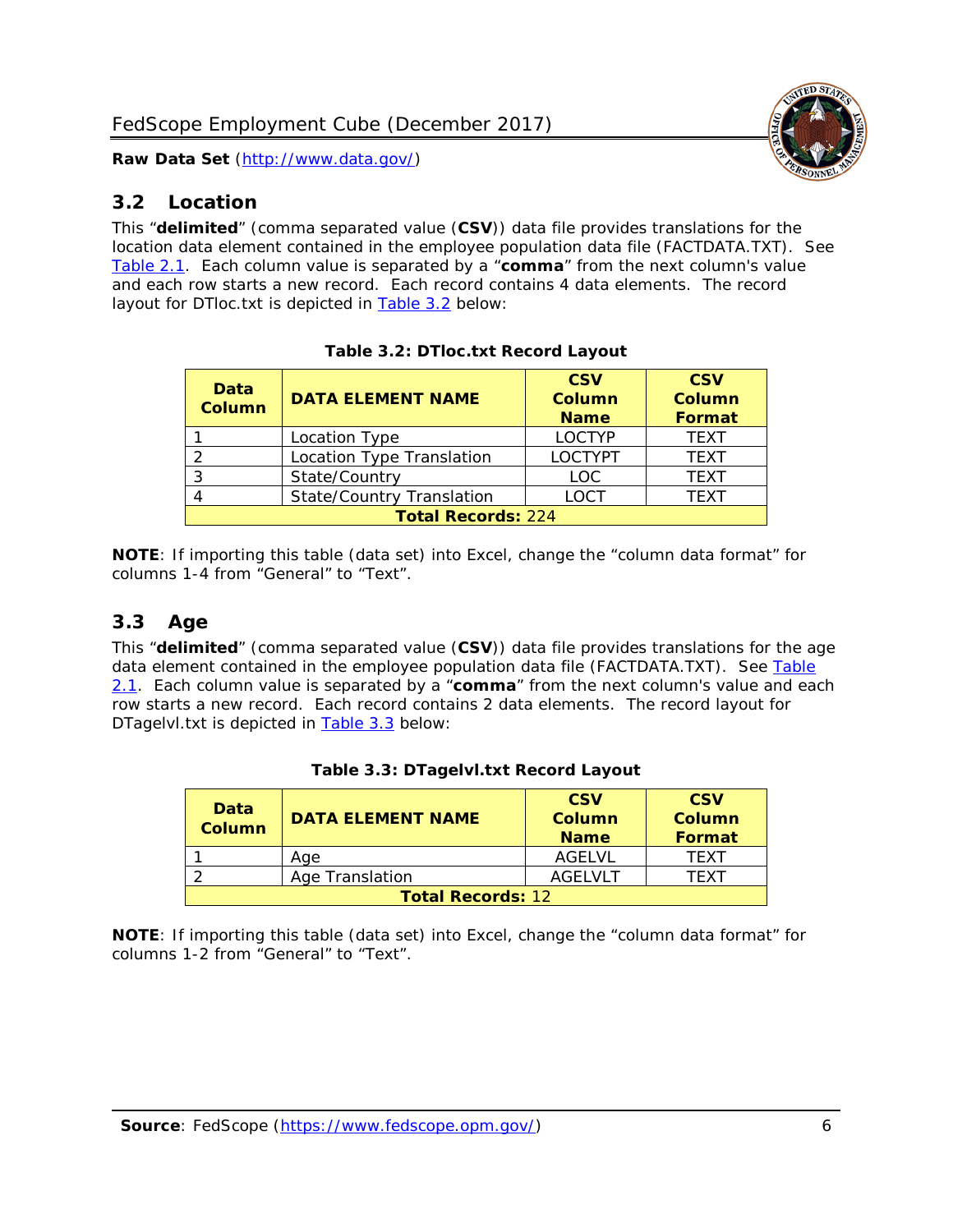

### <span id="page-6-0"></span>*3.2 Location*

This "**delimited**" (comma separated value (**CSV**)) data file provides translations for the location data element contained in the employee population data file (FACTDATA.TXT). See [Table 2.1.](#page-4-0) Each column value is separated by a "**comma**" from the next column's value and each row starts a new record. Each record contains 4 data elements. The record layout for DTloc.txt is depicted in [Table 3.2](#page-6-2) below:

<span id="page-6-2"></span>

| Data<br><b>Column</b>     | <b>DATA ELEMENT NAME</b>         | <b>CSV</b><br><b>Column</b><br><b>Name</b> | <b>CSV</b><br><b>Column</b><br>Format |  |
|---------------------------|----------------------------------|--------------------------------------------|---------------------------------------|--|
|                           | Location Type                    | <b>LOCTYP</b>                              | <b>TEXT</b>                           |  |
|                           | Location Type Translation        | <b>LOCTYPT</b>                             | <b>TEXT</b>                           |  |
| 3                         | State/Country                    | <b>LOC</b>                                 | <b>TFXT</b>                           |  |
| 4                         | <b>State/Country Translation</b> | <b>LOCT</b>                                | <b>TFXT</b>                           |  |
| <b>Total Records: 224</b> |                                  |                                            |                                       |  |

**Table 3.2: DTloc.txt Record Layout**

**NOTE**: If importing this table (data set) into Excel, change the "column data format" for columns 1-4 from "General" to "Text".

# <span id="page-6-1"></span>*3.3 Age*

This "**delimited**" (comma separated value (**CSV**)) data file provides translations for the age data element contained in the employee population data file (FACTDATA.TXT). See Table [2.1.](#page-4-0) Each column value is separated by a "**comma**" from the next column's value and each row starts a new record. Each record contains 2 data elements. The record layout for DTagelvl.txt is depicted in [Table 3.3](#page-6-3) below:

<span id="page-6-3"></span>

| <b>Data</b><br>Column    | <b>DATA ELEMENT NAME</b> | <b>CSV</b><br>Column<br><b>Name</b> | <b>CSV</b><br>Column<br>Format |  |
|--------------------------|--------------------------|-------------------------------------|--------------------------------|--|
|                          | Aae                      | AGELVL                              | <b>TFXT</b>                    |  |
|                          | Age Translation          | AGFI VI T                           | TFXT                           |  |
| <b>Total Records: 12</b> |                          |                                     |                                |  |

| Table 3.3: DTagelvl.txt Record Layout |  |  |
|---------------------------------------|--|--|
|---------------------------------------|--|--|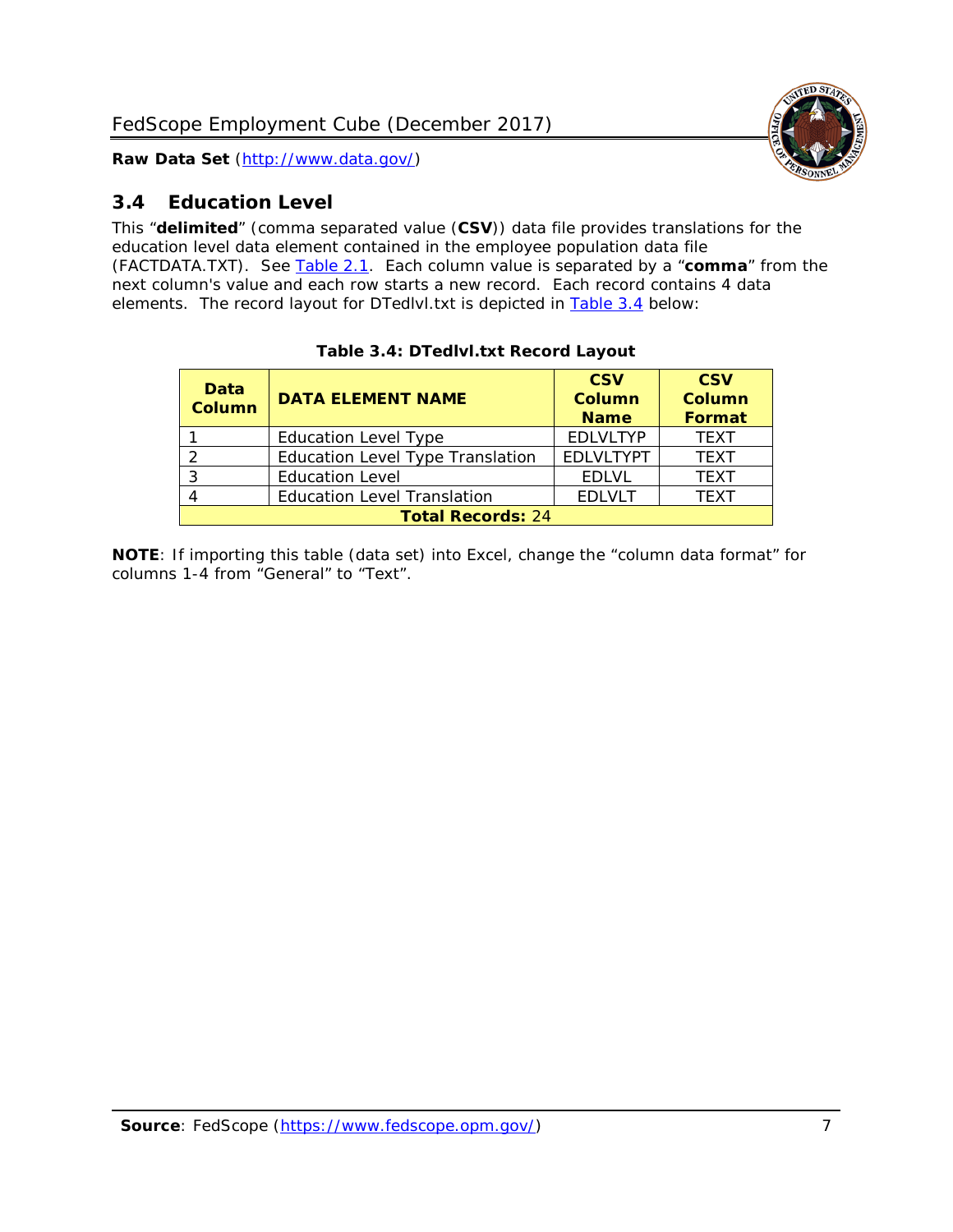

# <span id="page-7-0"></span>*3.4 Education Level*

This "**delimited**" (comma separated value (**CSV**)) data file provides translations for the education level data element contained in the employee population data file (FACTDATA.TXT). See [Table 2.1.](#page-4-0) Each column value is separated by a "**comma**" from the next column's value and each row starts a new record. Each record contains 4 data elements. The record layout for DTedlvl.txt is depicted in [Table 3.4](#page-7-1) below:

<span id="page-7-1"></span>

| Data<br><b>Column</b> | <b>DATA ELEMENT NAME</b>                | <b>CSV</b><br><b>Column</b><br><b>Name</b> | <b>CSV</b><br><b>Column</b><br><b>Format</b> |  |  |
|-----------------------|-----------------------------------------|--------------------------------------------|----------------------------------------------|--|--|
|                       | <b>Education Level Type</b>             | <b>EDLVLTYP</b>                            | <b>TEXT</b>                                  |  |  |
| っ                     | <b>Education Level Type Translation</b> | <b>EDLVLTYPT</b>                           | <b>TEXT</b>                                  |  |  |
| 3                     | <b>Education Level</b>                  | <b>EDLVL</b>                               | <b>TEXT</b>                                  |  |  |
|                       | <b>Education Level Translation</b>      | <b>EDLVLT</b>                              | <b>TEXT</b>                                  |  |  |
|                       | <b>Total Records: 24</b>                |                                            |                                              |  |  |

#### **Table 3.4: DTedlvl.txt Record Layout**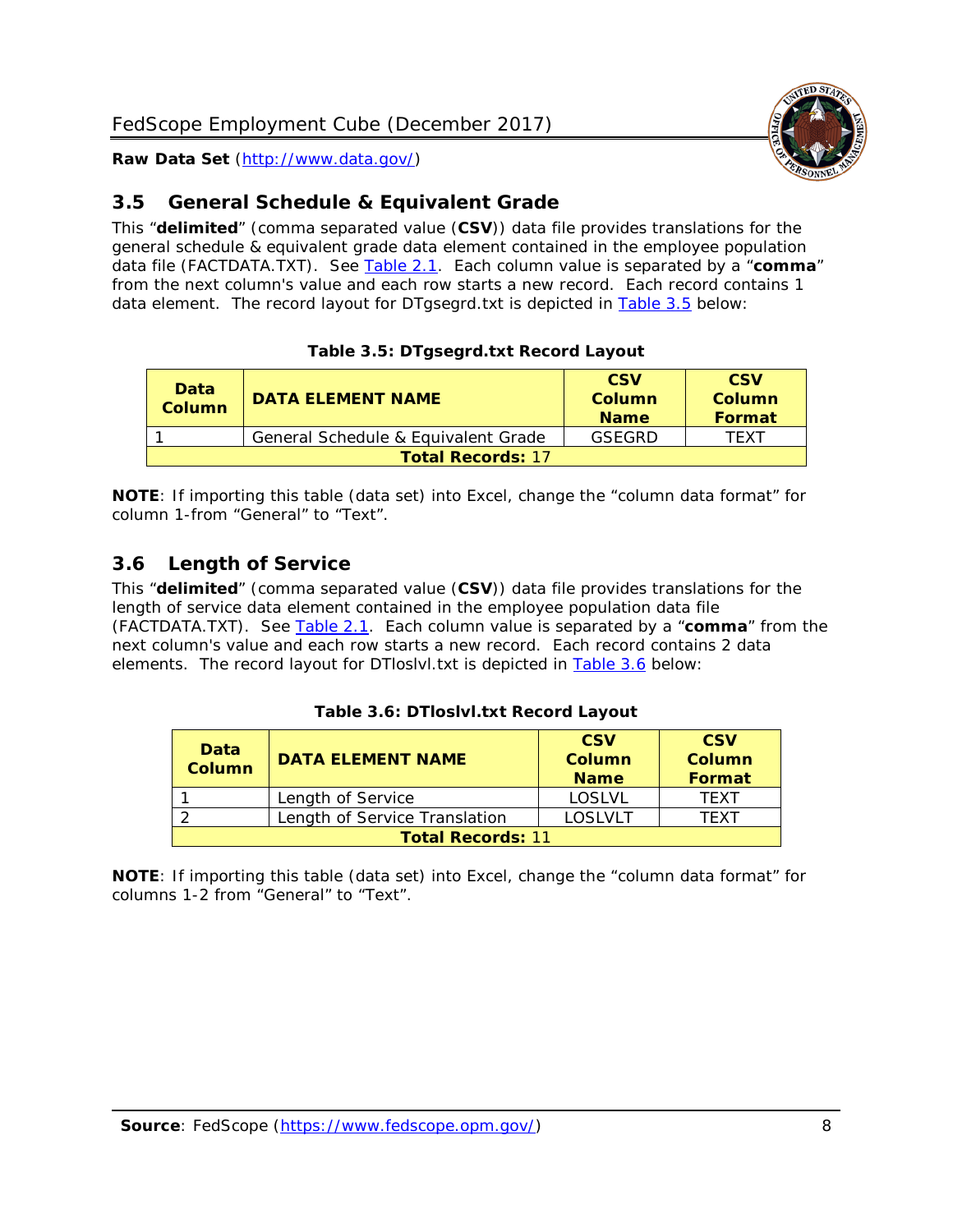

# <span id="page-8-0"></span>*3.5 General Schedule & Equivalent Grade*

This "**delimited**" (comma separated value (**CSV**)) data file provides translations for the general schedule & equivalent grade data element contained in the employee population data file (FACTDATA.TXT). See [Table 2.1.](#page-4-0) Each column value is separated by a "**comma**" from the next column's value and each row starts a new record. Each record contains 1 data element. The record layout for DTgsegrd.txt is depicted in [Table 3.5](#page-8-2) below:

#### **Table 3.5: DTgsegrd.txt Record Layout**

<span id="page-8-2"></span>

| Data<br>Column           | <b>DATA ELEMENT NAME</b>            | <b>CSV</b><br>Column<br><b>Name</b> | <b>CSV</b><br>Column<br>Format |  |
|--------------------------|-------------------------------------|-------------------------------------|--------------------------------|--|
|                          | General Schedule & Equivalent Grade | GSEGRD                              | TFXT                           |  |
| <b>Total Records: 17</b> |                                     |                                     |                                |  |

**NOTE**: If importing this table (data set) into Excel, change the "column data format" for column 1-from "General" to "Text".

# <span id="page-8-1"></span>*3.6 Length of Service*

This "**delimited**" (comma separated value (**CSV**)) data file provides translations for the length of service data element contained in the employee population data file (FACTDATA.TXT). See [Table 2.1.](#page-4-0) Each column value is separated by a "**comma**" from the next column's value and each row starts a new record. Each record contains 2 data elements. The record layout for DTloslvl.txt is depicted in [Table 3.6](#page-8-3) below:

#### **Table 3.6: DTloslvl.txt Record Layout**

<span id="page-8-3"></span>

| Data<br><b>Column</b>    | <b>DATA ELEMENT NAME</b>      | <b>CSV</b><br><b>Column</b><br><b>Name</b> | <b>CSV</b><br>Column<br><b>Format</b> |  |
|--------------------------|-------------------------------|--------------------------------------------|---------------------------------------|--|
|                          | Length of Service             | LOSLVL                                     | TFXT                                  |  |
|                          | Length of Service Translation | LOSLVLT                                    | TFXT                                  |  |
| <b>Total Records: 11</b> |                               |                                            |                                       |  |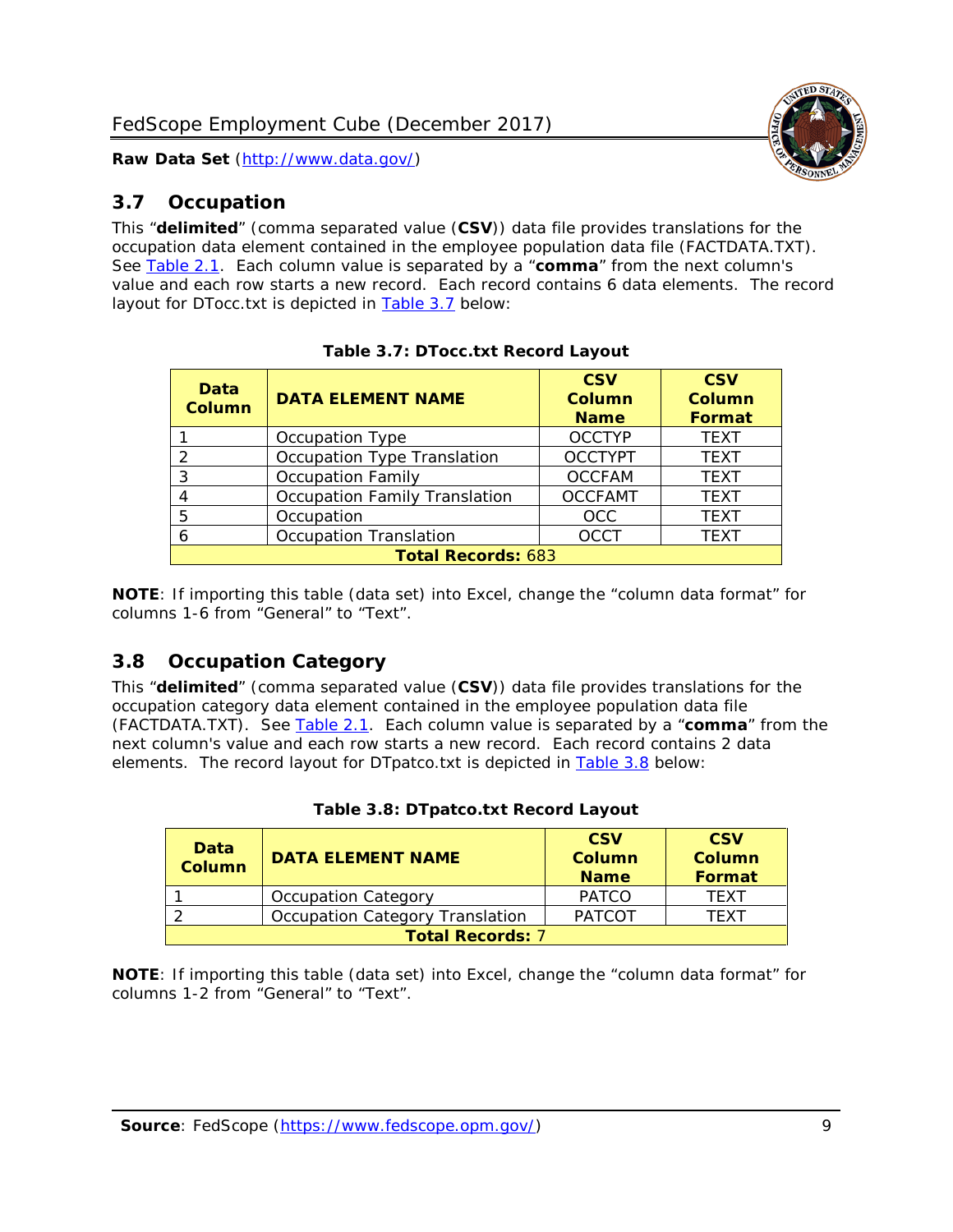

# <span id="page-9-0"></span>*3.7 Occupation*

This "**delimited**" (comma separated value (**CSV**)) data file provides translations for the occupation data element contained in the employee population data file (FACTDATA.TXT). See [Table 2.1.](#page-4-0) Each column value is separated by a "**comma**" from the next column's value and each row starts a new record. Each record contains 6 data elements. The record layout for DTocc.txt is depicted in [Table 3.7](#page-9-2) below:

<span id="page-9-2"></span>

| Data<br><b>Column</b> | <b>DATA ELEMENT NAME</b>             | <b>CSV</b><br>Column<br><b>Name</b> | <b>CSV</b><br>Column<br><b>Format</b> |  |  |
|-----------------------|--------------------------------------|-------------------------------------|---------------------------------------|--|--|
|                       | Occupation Type                      | <b>OCCTYP</b>                       | <b>TEXT</b>                           |  |  |
| $\overline{2}$        | Occupation Type Translation          | <b>OCCTYPT</b>                      | <b>TEXT</b>                           |  |  |
| 3                     | <b>Occupation Family</b>             | <b>OCCFAM</b>                       | <b>TEXT</b>                           |  |  |
| 4                     | <b>Occupation Family Translation</b> | <b>OCCFAMT</b>                      | <b>TEXT</b>                           |  |  |
| 5                     | Occupation                           | <b>OCC</b>                          | <b>TEXT</b>                           |  |  |
| 6                     | <b>Occupation Translation</b>        | <b>OCCT</b>                         | <b>TEXT</b>                           |  |  |
|                       | <b>Total Records: 683</b>            |                                     |                                       |  |  |

**NOTE**: If importing this table (data set) into Excel, change the "column data format" for columns 1-6 from "General" to "Text".

# <span id="page-9-1"></span>*3.8 Occupation Category*

This "**delimited**" (comma separated value (**CSV**)) data file provides translations for the occupation category data element contained in the employee population data file (FACTDATA.TXT). See [Table 2.1.](#page-4-0) Each column value is separated by a "**comma**" from the next column's value and each row starts a new record. Each record contains 2 data elements. The record layout for DTpatco.txt is depicted in [Table 3.8](#page-9-3) below:

<span id="page-9-3"></span>

| Data<br>Column          | <b>DATA ELEMENT NAME</b>        | <b>CSV</b><br>Column<br><b>Name</b> | <b>CSV</b><br>Column<br><b>Format</b> |
|-------------------------|---------------------------------|-------------------------------------|---------------------------------------|
|                         | <b>Occupation Category</b>      | <b>PATCO</b>                        | <b>TFXT</b>                           |
|                         | Occupation Category Translation | <b>PATCOT</b>                       | TFXT                                  |
| <b>Total Records: 7</b> |                                 |                                     |                                       |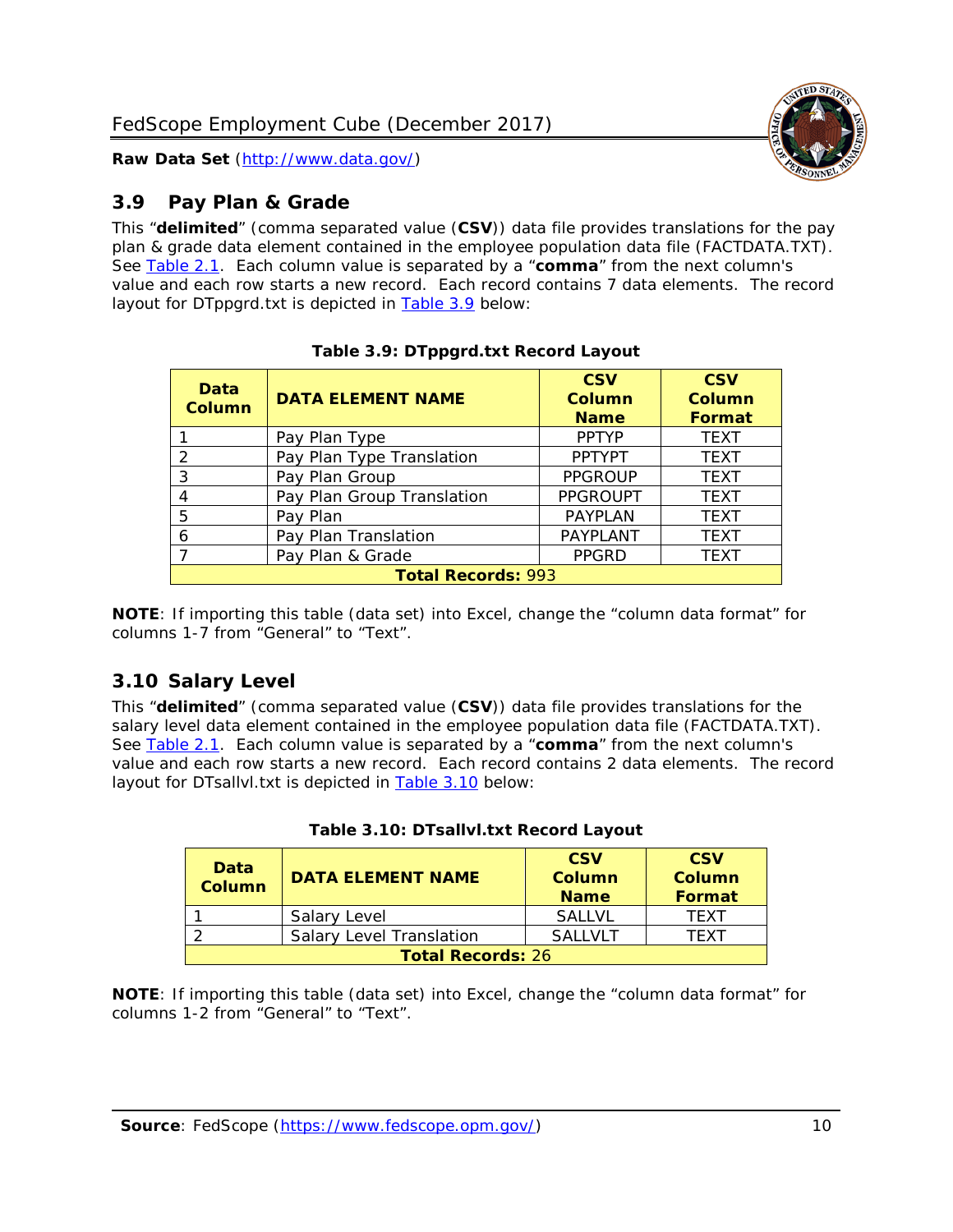

# <span id="page-10-0"></span>*3.9 Pay Plan & Grade*

This "**delimited**" (comma separated value (**CSV**)) data file provides translations for the pay plan & grade data element contained in the employee population data file (FACTDATA.TXT). See [Table 2.1.](#page-4-0) Each column value is separated by a "**comma**" from the next column's value and each row starts a new record. Each record contains 7 data elements. The record layout for DTppgrd.txt is depicted in [Table 3.9](#page-10-2) below:

<span id="page-10-2"></span>

| Data<br><b>Column</b>     | <b>DATA ELEMENT NAME</b>   | <b>CSV</b><br>Column<br><b>Name</b> | <b>CSV</b><br>Column<br>Format |
|---------------------------|----------------------------|-------------------------------------|--------------------------------|
|                           | Pay Plan Type              | <b>PPTYP</b>                        | <b>TEXT</b>                    |
| 2                         | Pay Plan Type Translation  | <b>PPTYPT</b>                       | <b>TEXT</b>                    |
| 3                         | Pay Plan Group             | <b>PPGROUP</b>                      | <b>TEXT</b>                    |
| 4                         | Pay Plan Group Translation | <b>PPGROUPT</b>                     | <b>TEXT</b>                    |
| 5                         | Pay Plan                   | PAYPLAN                             | <b>TEXT</b>                    |
| 6                         | Pay Plan Translation       | PAYPLANT                            | <b>TEXT</b>                    |
| $\overline{ }$            | Pay Plan & Grade           | <b>PPGRD</b>                        | <b>TEXT</b>                    |
| <b>Total Records: 993</b> |                            |                                     |                                |

**Table 3.9: DTppgrd.txt Record Layout**

**NOTE**: If importing this table (data set) into Excel, change the "column data format" for columns 1-7 from "General" to "Text".

# <span id="page-10-1"></span>*3.10 Salary Level*

This "**delimited**" (comma separated value (**CSV**)) data file provides translations for the salary level data element contained in the employee population data file (FACTDATA.TXT). See [Table 2.1.](#page-4-0) Each column value is separated by a "**comma**" from the next column's value and each row starts a new record. Each record contains 2 data elements. The record layout for DTsallvl.txt is depicted in **Table 3.10** below:

<span id="page-10-3"></span>

| Data<br><b>Column</b>    | <b>DATA ELEMENT NAME</b>        | <b>CSV</b><br><b>Column</b><br><b>Name</b> | <b>CSV</b><br>Column<br>Format |
|--------------------------|---------------------------------|--------------------------------------------|--------------------------------|
|                          | Salary Level                    | <b>SALLVL</b>                              | <b>TFXT</b>                    |
|                          | <b>Salary Level Translation</b> | <b>SALLVLT</b>                             | TFXT                           |
| <b>Total Records: 26</b> |                                 |                                            |                                |

|  | Table 3.10: DTsallvl.txt Record Layout |  |  |
|--|----------------------------------------|--|--|
|--|----------------------------------------|--|--|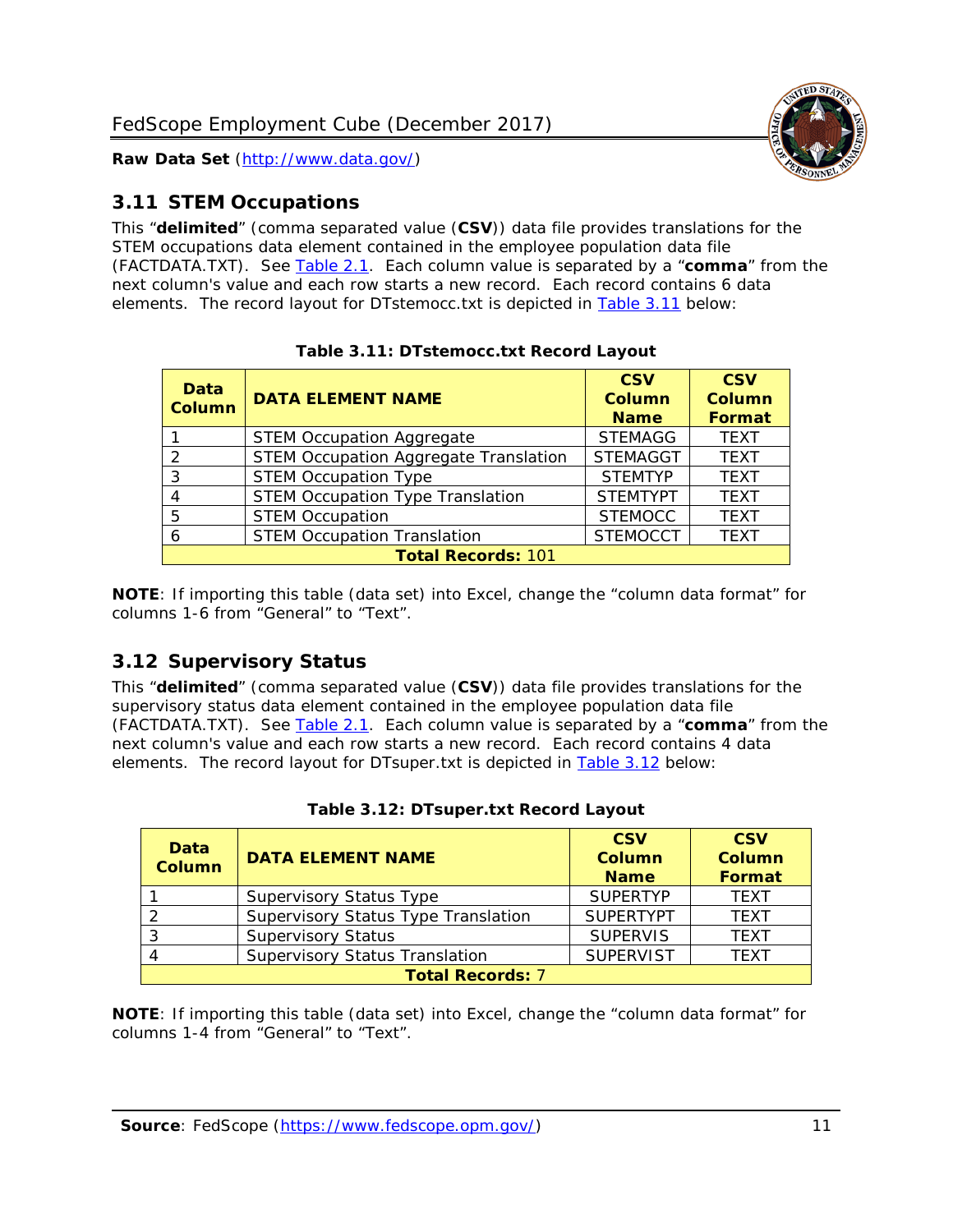

# <span id="page-11-0"></span>*3.11 STEM Occupations*

This "**delimited**" (comma separated value (**CSV**)) data file provides translations for the STEM occupations data element contained in the employee population data file (FACTDATA.TXT). See [Table 2.1.](#page-4-0) Each column value is separated by a "**comma**" from the next column's value and each row starts a new record. Each record contains 6 data elements. The record layout for DTstemocc.txt is depicted in [Table 3.11](#page-11-2) below:

<span id="page-11-2"></span>

| <b>Data</b><br><b>Column</b> | <b>DATA ELEMENT NAME</b>                     | <b>CSV</b><br>Column<br><b>Name</b> | <b>CSV</b><br>Column<br>Format |
|------------------------------|----------------------------------------------|-------------------------------------|--------------------------------|
|                              | <b>STEM Occupation Aggregate</b>             | <b>STEMAGG</b>                      | <b>TEXT</b>                    |
| っ                            | <b>STEM Occupation Aggregate Translation</b> | <b>STEMAGGT</b>                     | <b>TEXT</b>                    |
| 3                            | <b>STEM Occupation Type</b>                  | <b>STEMTYP</b>                      | <b>TEXT</b>                    |
| 4                            | <b>STEM Occupation Type Translation</b>      | <b>STEMTYPT</b>                     | <b>TEXT</b>                    |
| 5                            | <b>STEM Occupation</b>                       | <b>STEMOCC</b>                      | <b>TEXT</b>                    |
| 6                            | <b>STEM Occupation Translation</b>           | <b>STEMOCCT</b>                     | <b>TEXT</b>                    |
| <b>Total Records: 101</b>    |                                              |                                     |                                |

**Table 3.11: DTstemocc.txt Record Layout**

**NOTE**: If importing this table (data set) into Excel, change the "column data format" for columns 1-6 from "General" to "Text".

# <span id="page-11-1"></span>*3.12 Supervisory Status*

This "**delimited**" (comma separated value (**CSV**)) data file provides translations for the supervisory status data element contained in the employee population data file (FACTDATA.TXT). See [Table 2.1.](#page-4-0) Each column value is separated by a "**comma**" from the next column's value and each row starts a new record. Each record contains 4 data elements. The record layout for DTsuper.txt is depicted in [Table 3.12](#page-11-3) below:

<span id="page-11-3"></span>

| Data<br><b>Column</b>   | <b>DATA ELEMENT NAME</b>              | <b>CSV</b><br><b>Column</b><br><b>Name</b> | <b>CSV</b><br><b>Column</b><br>Format |
|-------------------------|---------------------------------------|--------------------------------------------|---------------------------------------|
|                         | <b>Supervisory Status Type</b>        | <b>SUPERTYP</b>                            | <b>TEXT</b>                           |
|                         | Supervisory Status Type Translation   | <b>SUPERTYPT</b>                           | <b>TEXT</b>                           |
|                         | <b>Supervisory Status</b>             | <b>SUPERVIS</b>                            | <b>TEXT</b>                           |
|                         | <b>Supervisory Status Translation</b> | <b>SUPERVIST</b>                           | <b>TEXT</b>                           |
| <b>Total Records: 7</b> |                                       |                                            |                                       |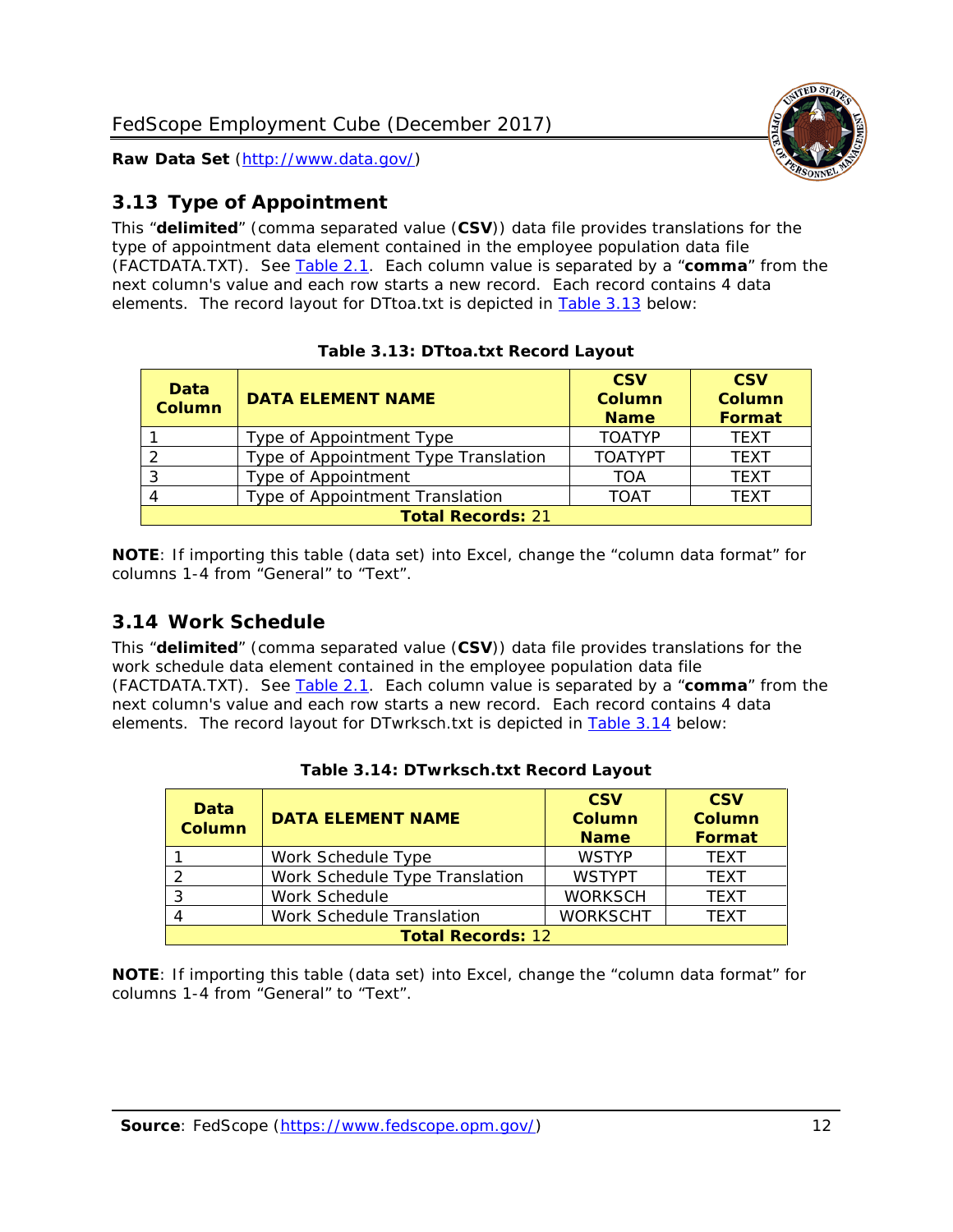

# <span id="page-12-0"></span>*3.13 Type of Appointment*

This "**delimited**" (comma separated value (**CSV**)) data file provides translations for the type of appointment data element contained in the employee population data file (FACTDATA.TXT). See [Table 2.1.](#page-4-0) Each column value is separated by a "**comma**" from the next column's value and each row starts a new record. Each record contains 4 data elements. The record layout for DTtoa.txt is depicted in [Table 3.13](#page-12-2) below:

<span id="page-12-2"></span>

| <b>Data</b><br><b>Column</b> | <b>DATA ELEMENT NAME</b>             | <b>CSV</b><br><b>Column</b><br><b>Name</b> | <b>CSV</b><br>Column<br>Format |
|------------------------------|--------------------------------------|--------------------------------------------|--------------------------------|
|                              | Type of Appointment Type             | <b>TOATYP</b>                              | <b>TEXT</b>                    |
|                              | Type of Appointment Type Translation | <b>TOATYPT</b>                             | <b>TEXT</b>                    |
|                              | Type of Appointment                  | TOA                                        | <b>TEXT</b>                    |
| 4                            | Type of Appointment Translation      | <b>TOAT</b>                                | <b>TFXT</b>                    |
| <b>Total Records: 21</b>     |                                      |                                            |                                |

**Table 3.13: DTtoa.txt Record Layout**

**NOTE**: If importing this table (data set) into Excel, change the "column data format" for columns 1-4 from "General" to "Text".

### <span id="page-12-1"></span>*3.14 Work Schedule*

This "**delimited**" (comma separated value (**CSV**)) data file provides translations for the work schedule data element contained in the employee population data file (FACTDATA.TXT). See [Table 2.1.](#page-4-0) Each column value is separated by a "**comma**" from the next column's value and each row starts a new record. Each record contains 4 data elements. The record layout for DTwrksch.txt is depicted in [Table 3.14](#page-12-3) below:

<span id="page-12-3"></span>

| Data<br><b>Column</b>    | <b>DATA ELEMENT NAME</b>       | <b>CSV</b><br><b>Column</b><br><b>Name</b> | <b>CSV</b><br><b>Column</b><br><b>Format</b> |
|--------------------------|--------------------------------|--------------------------------------------|----------------------------------------------|
|                          | Work Schedule Type             | <b>WSTYP</b>                               | <b>TEXT</b>                                  |
| $\mathcal{L}$            | Work Schedule Type Translation | <b>WSTYPT</b>                              | <b>TEXT</b>                                  |
| -3                       | Work Schedule                  | <b>WORKSCH</b>                             | <b>TFXT</b>                                  |
|                          | Work Schedule Translation      | <b>WORKSCHT</b>                            | <b>TEXT</b>                                  |
| <b>Total Records: 12</b> |                                |                                            |                                              |

|  | Table 3.14: DTwrksch.txt Record Layout |  |  |
|--|----------------------------------------|--|--|
|--|----------------------------------------|--|--|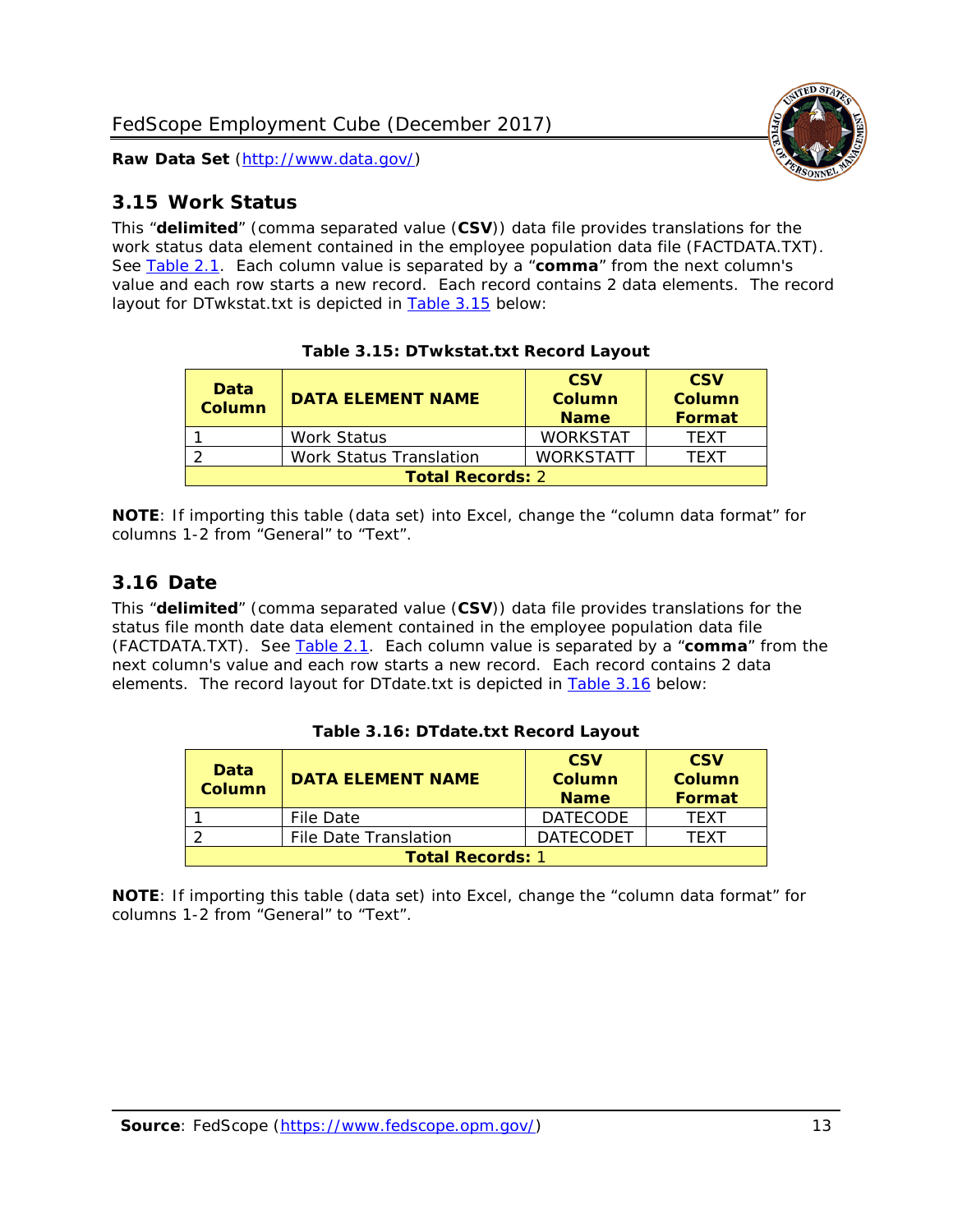

#### <span id="page-13-0"></span>*3.15 Work Status*

This "**delimited**" (comma separated value (**CSV**)) data file provides translations for the work status data element contained in the employee population data file (FACTDATA.TXT). See [Table 2.1.](#page-4-0) Each column value is separated by a "**comma**" from the next column's value and each row starts a new record. Each record contains 2 data elements. The record layout for DTwkstat.txt is depicted in [Table 3.15](#page-13-2) below:

<span id="page-13-2"></span>

| <b>Data</b><br><b>Column</b> | <b>DATA ELEMENT NAME</b> | <b>CSV</b><br>Column<br><b>Name</b> | <b>CSV</b><br>Column<br>Format |  |
|------------------------------|--------------------------|-------------------------------------|--------------------------------|--|
|                              | Work Status              | <b>WORKSTAT</b>                     | <b>TFXT</b>                    |  |
|                              | Work Status Translation  | <b>WORKSTATT</b>                    | TFXT                           |  |
| <b>Total Records: 2</b>      |                          |                                     |                                |  |

**Table 3.15: DTwkstat.txt Record Layout**

**NOTE**: If importing this table (data set) into Excel, change the "column data format" for columns 1-2 from "General" to "Text".

#### <span id="page-13-1"></span>*3.16 Date*

This "**delimited**" (comma separated value (**CSV**)) data file provides translations for the status file month date data element contained in the employee population data file (FACTDATA.TXT). See [Table 2.1.](#page-4-0) Each column value is separated by a "**comma**" from the next column's value and each row starts a new record. Each record contains 2 data elements. The record layout for DTdate.txt is depicted in [Table 3.16](#page-13-3) below:

<span id="page-13-3"></span>

| Data<br><b>Column</b>   | <b>DATA ELEMENT NAME</b> | <b>CSV</b><br>Column<br><b>Name</b> | <b>CSV</b><br>Column<br>Format |  |
|-------------------------|--------------------------|-------------------------------------|--------------------------------|--|
|                         | File Date                | <b>DATECODE</b>                     | <b>TFXT</b>                    |  |
|                         | File Date Translation    | <b>DATECODET</b>                    | <b>TFXT</b>                    |  |
| <b>Total Records: 1</b> |                          |                                     |                                |  |

**Table 3.16: DTdate.txt Record Layout**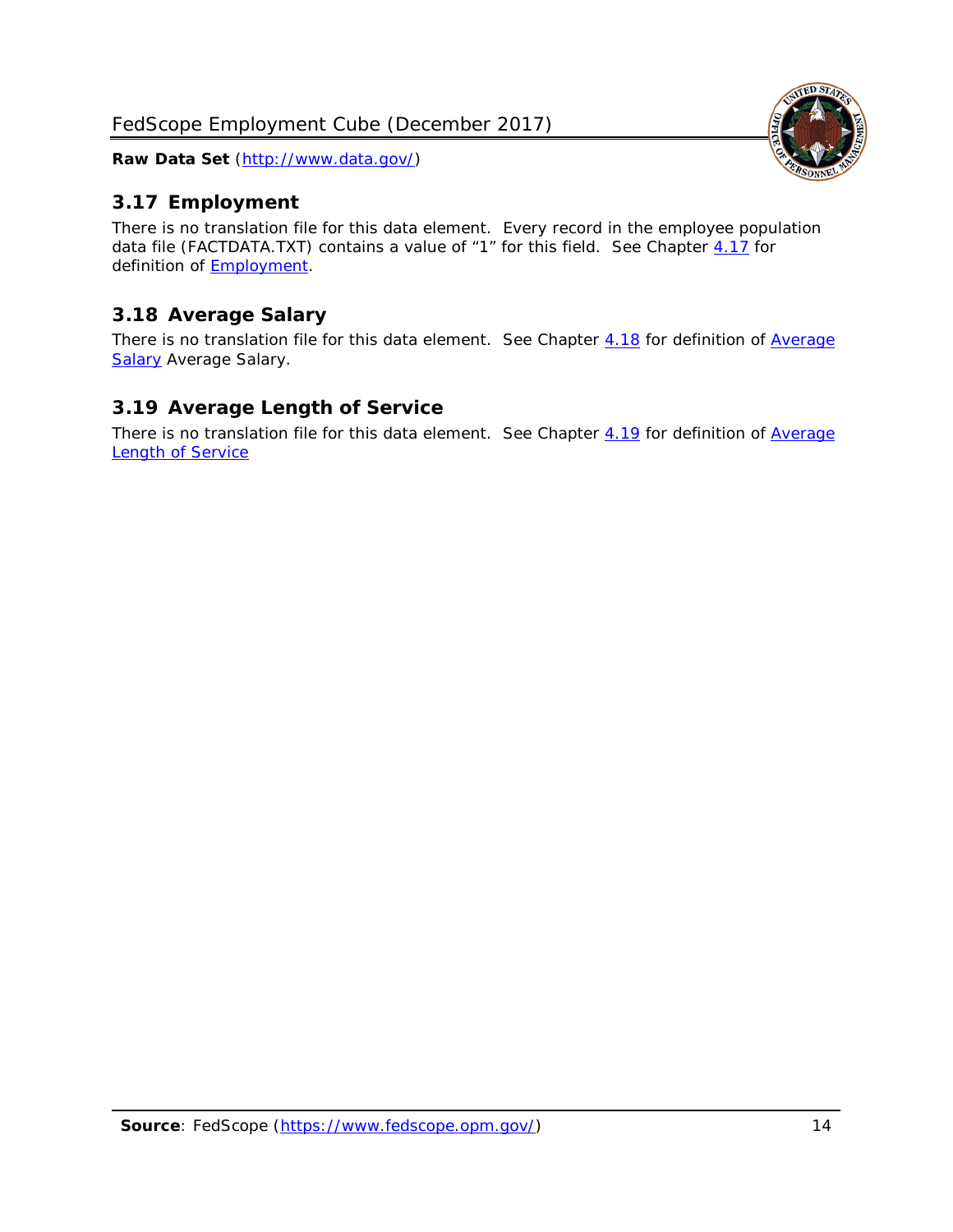

# <span id="page-14-0"></span>*3.17 Employment*

There is no translation file for this data element. Every record in the employee population data file (FACTDATA.TXT) contains a value of "1" for this field. See Chapter [4.17](#page-16-8) for definition of [Employment.](#page-17-0)

# <span id="page-14-1"></span>*3.18 Average Salary*

There is no translation file for this data element. See Chapter [4.18](#page-17-1) for definition of Average [Salary](#page-17-1) [Average Salary.](#page-17-1)

# <span id="page-14-2"></span>*3.19 Average Length of Service*

There is no translation file for this data element. See Chapter [4.19](#page-17-2) for definition of Average **[Length of Service](#page-17-2)**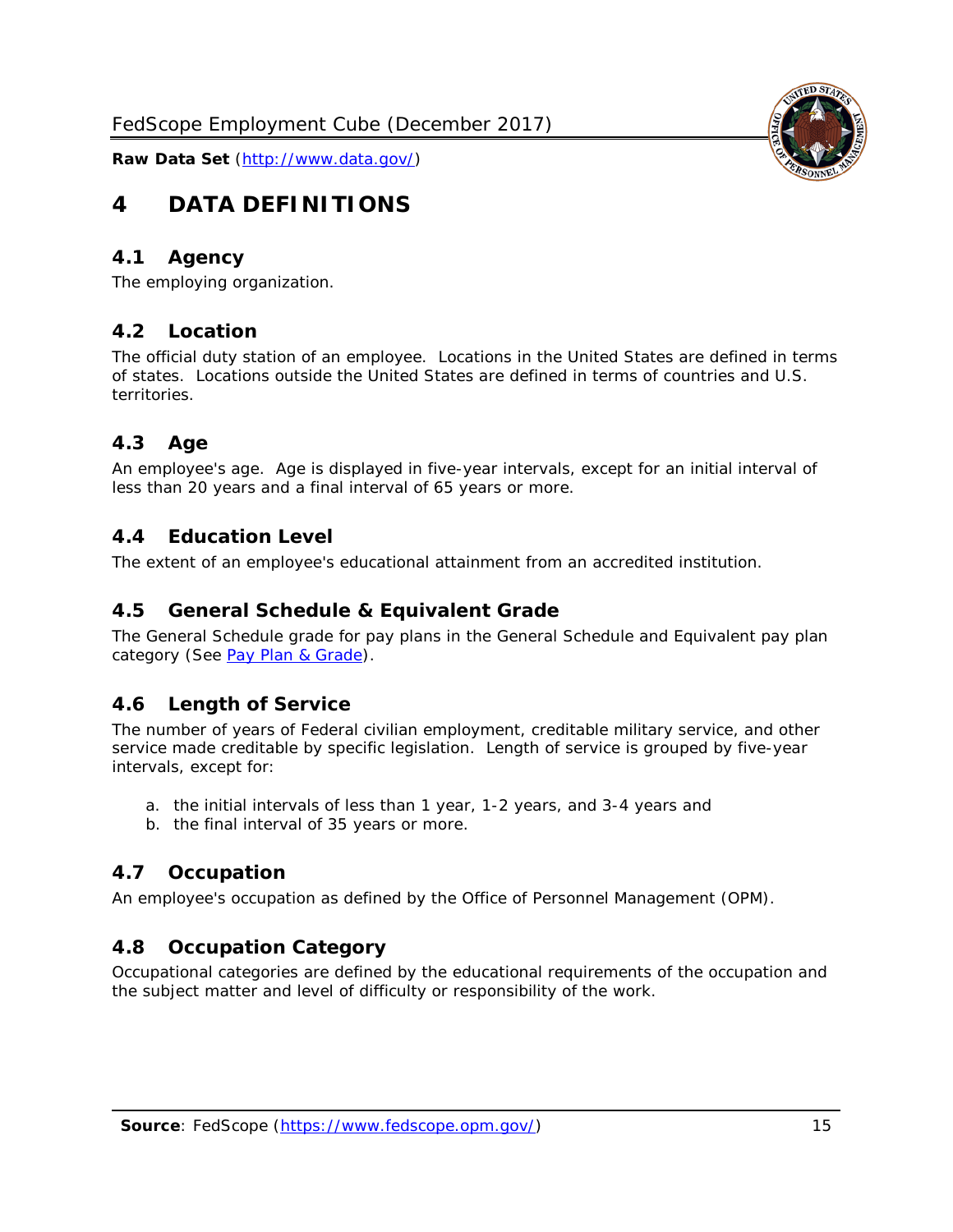# <span id="page-15-0"></span>**4 DATA DEFINITIONS**

#### <span id="page-15-1"></span>*4.1 Agency*

<span id="page-15-2"></span>The employing organization.

#### *4.2 Location*

The official duty station of an employee. Locations in the United States are defined in terms of states. Locations outside the United States are defined in terms of countries and U.S. territories.

#### <span id="page-15-3"></span>*4.3 Age*

An employee's age. Age is displayed in five-year intervals, except for an initial interval of less than 20 years and a final interval of 65 years or more.

#### <span id="page-15-4"></span>*4.4 Education Level*

<span id="page-15-5"></span>The extent of an employee's educational attainment from an accredited institution.

#### *4.5 General Schedule & Equivalent Grade*

The General Schedule grade for pay plans in the General Schedule and Equivalent pay plan category (See [Pay Plan & Grade\)](#page-16-0).

#### <span id="page-15-6"></span>*4.6 Length of Service*

The number of years of Federal civilian employment, creditable military service, and other service made creditable by specific legislation. Length of service is grouped by five-year intervals, except for:

- a. the initial intervals of less than 1 year, 1-2 years, and 3-4 years and
- b. the final interval of 35 years or more.

#### <span id="page-15-7"></span>*4.7 Occupation*

<span id="page-15-8"></span>An employee's occupation as defined by the Office of Personnel Management (OPM).

#### *4.8 Occupation Category*

Occupational categories are defined by the educational requirements of the occupation and the subject matter and level of difficulty or responsibility of the work.

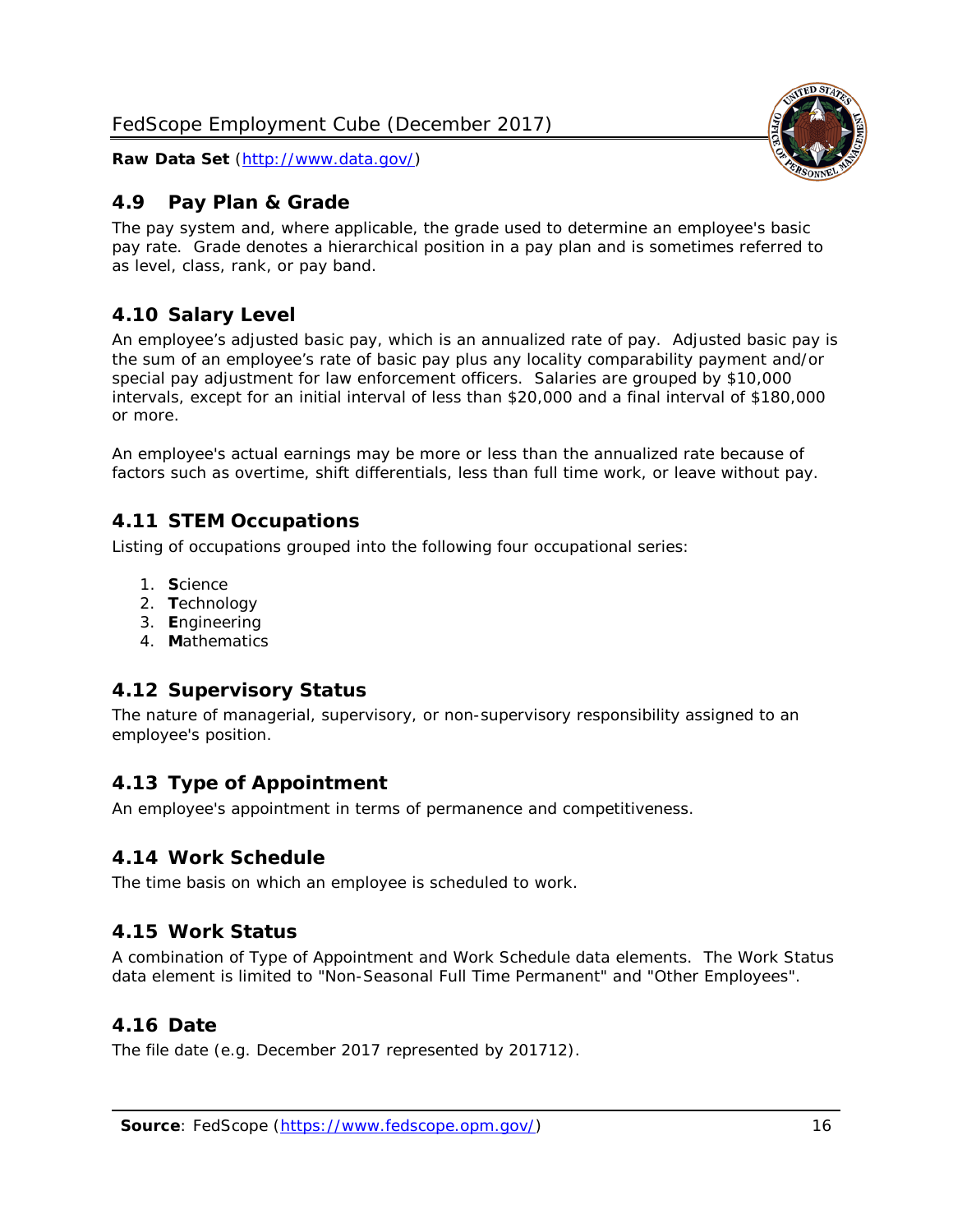# <span id="page-16-0"></span>*4.9 Pay Plan & Grade*

The pay system and, where applicable, the grade used to determine an employee's basic pay rate. Grade denotes a hierarchical position in a pay plan and is sometimes referred to as level, class, rank, or pay band.

# <span id="page-16-1"></span>*4.10 Salary Level*

An employee's adjusted basic pay, which is an annualized rate of pay. Adjusted basic pay is the sum of an employee's rate of basic pay plus any locality comparability payment and/or special pay adjustment for law enforcement officers. Salaries are grouped by \$10,000 intervals, except for an initial interval of less than \$20,000 and a final interval of \$180,000 or more.

An employee's actual earnings may be more or less than the annualized rate because of factors such as overtime, shift differentials, less than full time work, or leave without pay.

# <span id="page-16-2"></span>*4.11 STEM Occupations*

Listing of occupations grouped into the following four occupational series:

- 1. **S**cience
- 2. **T**echnology
- 3. **E**ngineering
- 4. **M**athematics

# <span id="page-16-3"></span>*4.12 Supervisory Status*

The nature of managerial, supervisory, or non-supervisory responsibility assigned to an employee's position.

# <span id="page-16-4"></span>*4.13 Type of Appointment*

<span id="page-16-5"></span>An employee's appointment in terms of permanence and competitiveness.

#### *4.14 Work Schedule*

<span id="page-16-6"></span>The time basis on which an employee is scheduled to work.

# *4.15 Work Status*

A combination of Type of Appointment and Work Schedule data elements. The Work Status data element is limited to "Non-Seasonal Full Time Permanent" and "Other Employees".

# <span id="page-16-7"></span>*4.16 Date*

<span id="page-16-8"></span>The file date (e.g. December 2017 represented by 201712).

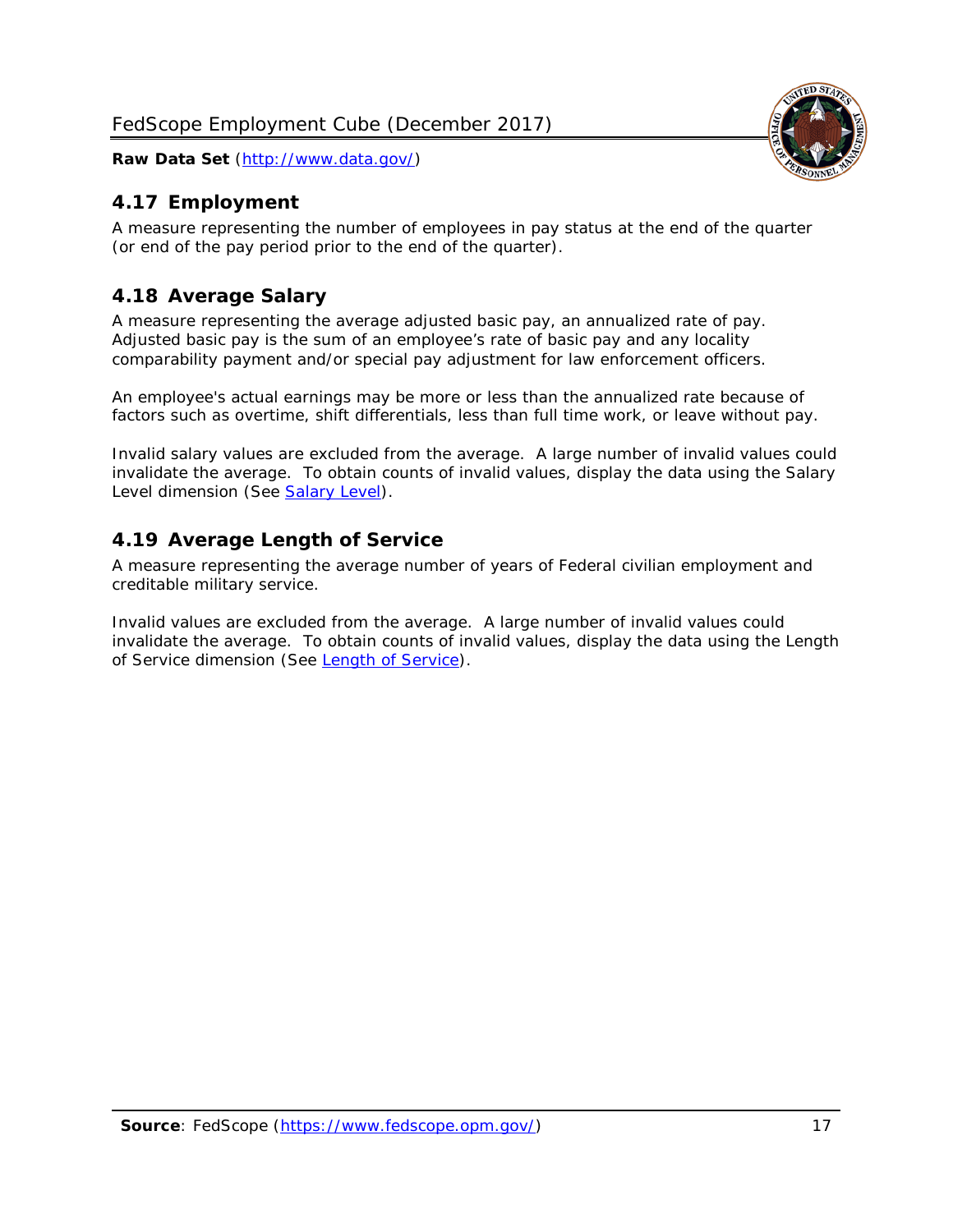# <span id="page-17-0"></span>*4.17 Employment*

A measure representing the number of employees in pay status at the end of the quarter (or end of the pay period prior to the end of the quarter).

# <span id="page-17-1"></span>*4.18 Average Salary*

A measure representing the average adjusted basic pay, an annualized rate of pay. Adjusted basic pay is the sum of an employee's rate of basic pay and any locality comparability payment and/or special pay adjustment for law enforcement officers.

An employee's actual earnings may be more or less than the annualized rate because of factors such as overtime, shift differentials, less than full time work, or leave without pay.

Invalid salary values are excluded from the average. A large number of invalid values could invalidate the average. To obtain counts of invalid values, display the data using the Salary Level dimension (See [Salary Level\)](#page-16-1).

# <span id="page-17-2"></span>*4.19 Average Length of Service*

A measure representing the average number of years of Federal civilian employment and creditable military service.

Invalid values are excluded from the average. A large number of invalid values could invalidate the average. To obtain counts of invalid values, display the data using the Length of Service dimension (See [Length of Service\)](#page-15-6).